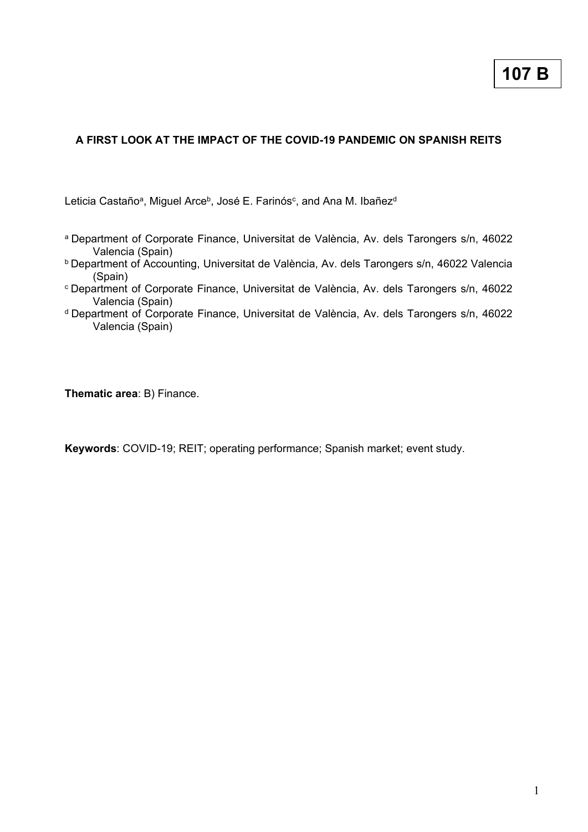# **A FIRST LOOK AT THE IMPACT OF THE COVID-19 PANDEMIC ON SPANISH REITS**

Leticia Castañoª, Miguel Arce<sup>b</sup>, José E. Farinósº, and Ana M. Ibañez<sup>d</sup>

- a Department of Corporate Finance, Universitat de València, Av. dels Tarongers s/n, 46022 Valencia (Spain)
- **b** Department of Accounting, Universitat de València, Av. dels Tarongers s/n, 46022 Valencia (Spain)
- <sup>c</sup>Department of Corporate Finance, Universitat de València, Av. dels Tarongers s/n, 46022 Valencia (Spain)
- <sup>d</sup> Department of Corporate Finance, Universitat de València, Av. dels Tarongers s/n, 46022 Valencia (Spain)

**Thematic area**: B) Finance.

**Keywords**: COVID-19; REIT; operating performance; Spanish market; event study.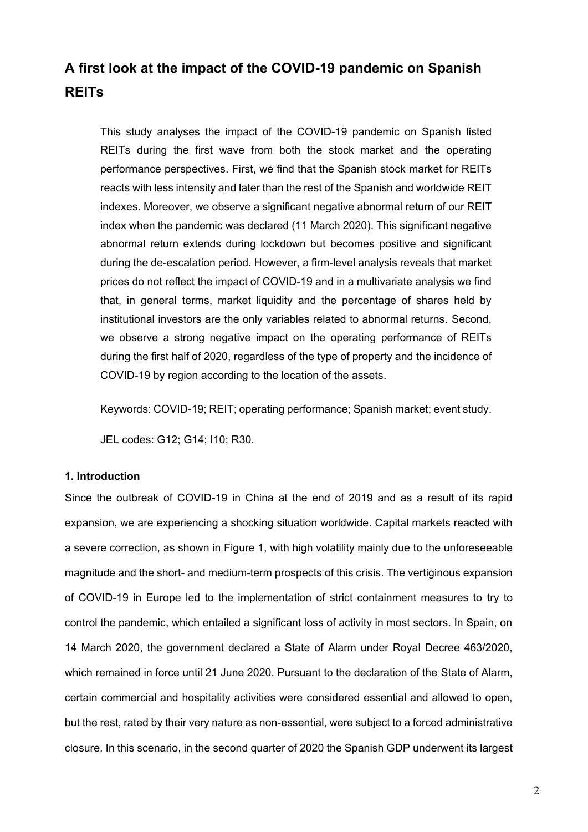# **A first look at the impact of the COVID-19 pandemic on Spanish REITs**

This study analyses the impact of the COVID-19 pandemic on Spanish listed REITs during the first wave from both the stock market and the operating performance perspectives. First, we find that the Spanish stock market for REITs reacts with less intensity and later than the rest of the Spanish and worldwide REIT indexes. Moreover, we observe a significant negative abnormal return of our REIT index when the pandemic was declared (11 March 2020). This significant negative abnormal return extends during lockdown but becomes positive and significant during the de-escalation period. However, a firm-level analysis reveals that market prices do not reflect the impact of COVID-19 and in a multivariate analysis we find that, in general terms, market liquidity and the percentage of shares held by institutional investors are the only variables related to abnormal returns. Second, we observe a strong negative impact on the operating performance of REITs during the first half of 2020, regardless of the type of property and the incidence of COVID-19 by region according to the location of the assets.

Keywords: COVID-19; REIT; operating performance; Spanish market; event study.

JEL codes: G12; G14; I10; R30.

# **1. Introduction**

Since the outbreak of COVID-19 in China at the end of 2019 and as a result of its rapid expansion, we are experiencing a shocking situation worldwide. Capital markets reacted with a severe correction, as shown in Figure 1, with high volatility mainly due to the unforeseeable magnitude and the short- and medium-term prospects of this crisis. The vertiginous expansion of COVID-19 in Europe led to the implementation of strict containment measures to try to control the pandemic, which entailed a significant loss of activity in most sectors. In Spain, on 14 March 2020, the government declared a State of Alarm under Royal Decree 463/2020, which remained in force until 21 June 2020. Pursuant to the declaration of the State of Alarm, certain commercial and hospitality activities were considered essential and allowed to open, but the rest, rated by their very nature as non-essential, were subject to a forced administrative closure. In this scenario, in the second quarter of 2020 the Spanish GDP underwent its largest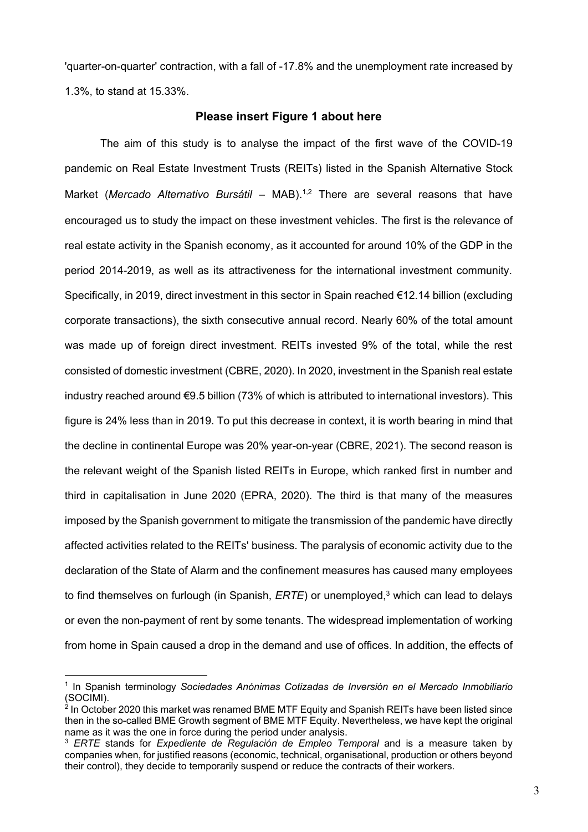'quarter-on-quarter' contraction, with a fall of -17.8% and the unemployment rate increased by 1.3%, to stand at 15.33%.

# **Please insert Figure 1 about here**

The aim of this study is to analyse the impact of the first wave of the COVID-19 pandemic on Real Estate Investment Trusts (REITs) listed in the Spanish Alternative Stock Market (*Mercado Alternativo Bursátil* – MAB). 1,2 There are several reasons that have encouraged us to study the impact on these investment vehicles. The first is the relevance of real estate activity in the Spanish economy, as it accounted for around 10% of the GDP in the period 2014-2019, as well as its attractiveness for the international investment community. Specifically, in 2019, direct investment in this sector in Spain reached €12.14 billion (excluding corporate transactions), the sixth consecutive annual record. Nearly 60% of the total amount was made up of foreign direct investment. REITs invested 9% of the total, while the rest consisted of domestic investment (CBRE, 2020). In 2020, investment in the Spanish real estate industry reached around €9.5 billion (73% of which is attributed to international investors). This figure is 24% less than in 2019. To put this decrease in context, it is worth bearing in mind that the decline in continental Europe was 20% year-on-year (CBRE, 2021). The second reason is the relevant weight of the Spanish listed REITs in Europe, which ranked first in number and third in capitalisation in June 2020 (EPRA, 2020). The third is that many of the measures imposed by the Spanish government to mitigate the transmission of the pandemic have directly affected activities related to the REITs' business. The paralysis of economic activity due to the declaration of the State of Alarm and the confinement measures has caused many employees to find themselves on furlough (in Spanish, *ERTE*) or unemployed, <sup>3</sup> which can lead to delays or even the non-payment of rent by some tenants. The widespread implementation of working from home in Spain caused a drop in the demand and use of offices. In addition, the effects of

<sup>1</sup> In Spanish terminology *Sociedades Anónimas Cotizadas de Inversión en el Mercado Inmobiliario* (SOCIMI).

<sup>&</sup>lt;sup>2</sup> In October 2020 this market was renamed BME MTF Equity and Spanish REITs have been listed since then in the so-called BME Growth segment of BME MTF Equity. Nevertheless, we have kept the original name as it was the one in force during the period under analysis.

<sup>3</sup> *ERTE* stands for *Expediente de Regulación de Empleo Temporal* and is a measure taken by companies when, for justified reasons (economic, technical, organisational, production or others beyond their control), they decide to temporarily suspend or reduce the contracts of their workers.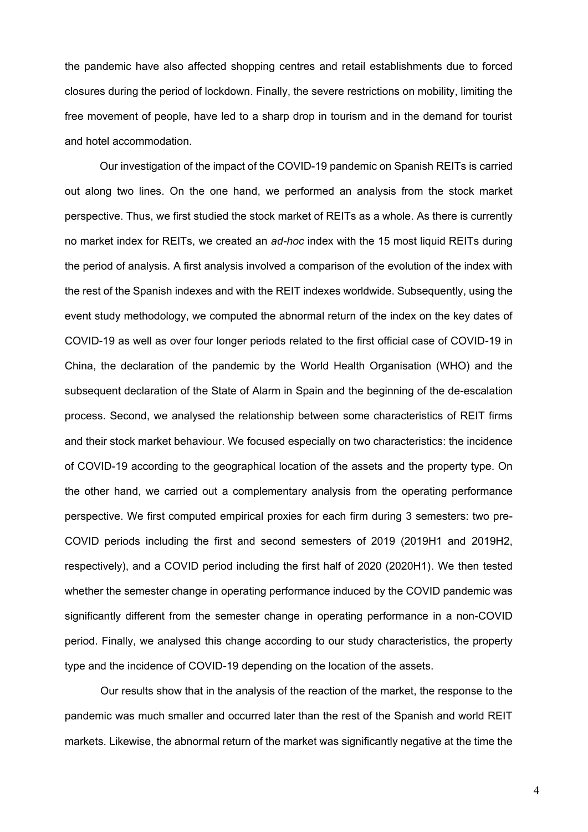the pandemic have also affected shopping centres and retail establishments due to forced closures during the period of lockdown. Finally, the severe restrictions on mobility, limiting the free movement of people, have led to a sharp drop in tourism and in the demand for tourist and hotel accommodation.

Our investigation of the impact of the COVID-19 pandemic on Spanish REITs is carried out along two lines. On the one hand, we performed an analysis from the stock market perspective. Thus, we first studied the stock market of REITs as a whole. As there is currently no market index for REITs, we created an *ad-hoc* index with the 15 most liquid REITs during the period of analysis. A first analysis involved a comparison of the evolution of the index with the rest of the Spanish indexes and with the REIT indexes worldwide. Subsequently, using the event study methodology, we computed the abnormal return of the index on the key dates of COVID-19 as well as over four longer periods related to the first official case of COVID-19 in China, the declaration of the pandemic by the World Health Organisation (WHO) and the subsequent declaration of the State of Alarm in Spain and the beginning of the de-escalation process. Second, we analysed the relationship between some characteristics of REIT firms and their stock market behaviour. We focused especially on two characteristics: the incidence of COVID-19 according to the geographical location of the assets and the property type. On the other hand, we carried out a complementary analysis from the operating performance perspective. We first computed empirical proxies for each firm during 3 semesters: two pre-COVID periods including the first and second semesters of 2019 (2019H1 and 2019H2, respectively), and a COVID period including the first half of 2020 (2020H1). We then tested whether the semester change in operating performance induced by the COVID pandemic was significantly different from the semester change in operating performance in a non-COVID period. Finally, we analysed this change according to our study characteristics, the property type and the incidence of COVID-19 depending on the location of the assets.

Our results show that in the analysis of the reaction of the market, the response to the pandemic was much smaller and occurred later than the rest of the Spanish and world REIT markets. Likewise, the abnormal return of the market was significantly negative at the time the

4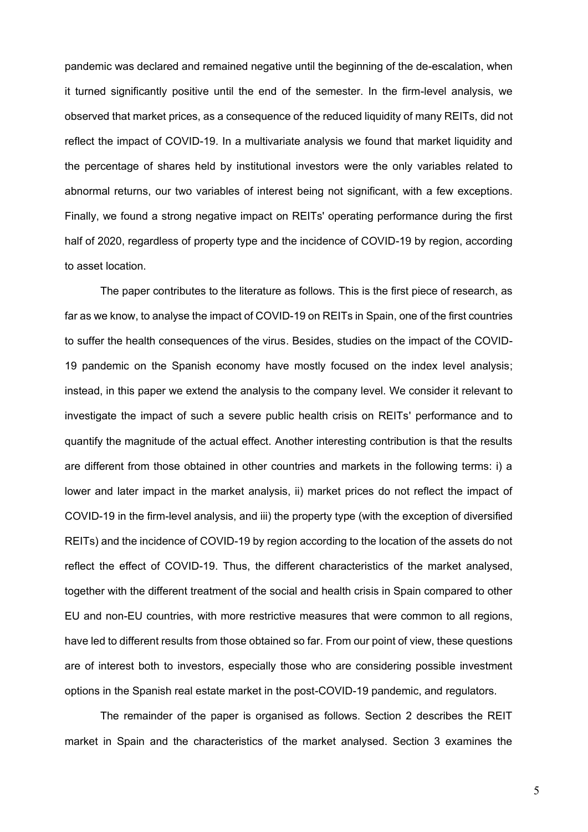pandemic was declared and remained negative until the beginning of the de-escalation, when it turned significantly positive until the end of the semester. In the firm-level analysis, we observed that market prices, as a consequence of the reduced liquidity of many REITs, did not reflect the impact of COVID-19. In a multivariate analysis we found that market liquidity and the percentage of shares held by institutional investors were the only variables related to abnormal returns, our two variables of interest being not significant, with a few exceptions. Finally, we found a strong negative impact on REITs' operating performance during the first half of 2020, regardless of property type and the incidence of COVID-19 by region, according to asset location.

The paper contributes to the literature as follows. This is the first piece of research, as far as we know, to analyse the impact of COVID-19 on REITs in Spain, one of the first countries to suffer the health consequences of the virus. Besides, studies on the impact of the COVID-19 pandemic on the Spanish economy have mostly focused on the index level analysis; instead, in this paper we extend the analysis to the company level. We consider it relevant to investigate the impact of such a severe public health crisis on REITs' performance and to quantify the magnitude of the actual effect. Another interesting contribution is that the results are different from those obtained in other countries and markets in the following terms: i) a lower and later impact in the market analysis, ii) market prices do not reflect the impact of COVID-19 in the firm-level analysis, and iii) the property type (with the exception of diversified REITs) and the incidence of COVID-19 by region according to the location of the assets do not reflect the effect of COVID-19. Thus, the different characteristics of the market analysed, together with the different treatment of the social and health crisis in Spain compared to other EU and non-EU countries, with more restrictive measures that were common to all regions, have led to different results from those obtained so far. From our point of view, these questions are of interest both to investors, especially those who are considering possible investment options in the Spanish real estate market in the post-COVID-19 pandemic, and regulators.

The remainder of the paper is organised as follows. Section 2 describes the REIT market in Spain and the characteristics of the market analysed. Section 3 examines the

5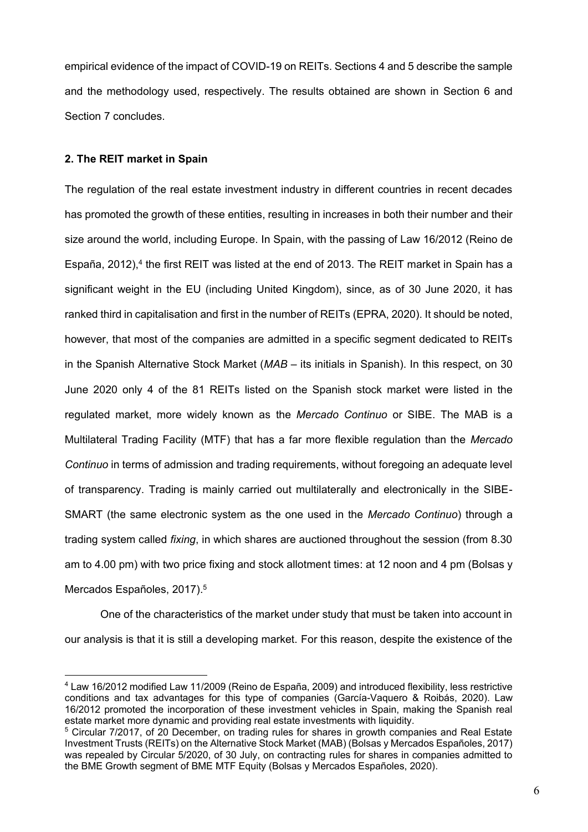empirical evidence of the impact of COVID-19 on REITs. Sections 4 and 5 describe the sample and the methodology used, respectively. The results obtained are shown in Section 6 and Section 7 concludes.

# **2. The REIT market in Spain**

The regulation of the real estate investment industry in different countries in recent decades has promoted the growth of these entities, resulting in increases in both their number and their size around the world, including Europe. In Spain, with the passing of Law 16/2012 (Reino de España, 2012),<sup>4</sup> the first REIT was listed at the end of 2013. The REIT market in Spain has a significant weight in the EU (including United Kingdom), since, as of 30 June 2020, it has ranked third in capitalisation and first in the number of REITs (EPRA, 2020). It should be noted, however, that most of the companies are admitted in a specific segment dedicated to REITs in the Spanish Alternative Stock Market (*MAB* – its initials in Spanish). In this respect, on 30 June 2020 only 4 of the 81 REITs listed on the Spanish stock market were listed in the regulated market, more widely known as the *Mercado Continuo* or SIBE. The MAB is a Multilateral Trading Facility (MTF) that has a far more flexible regulation than the *Mercado Continuo* in terms of admission and trading requirements, without foregoing an adequate level of transparency. Trading is mainly carried out multilaterally and electronically in the SIBE-SMART (the same electronic system as the one used in the *Mercado Continuo*) through a trading system called *fixing*, in which shares are auctioned throughout the session (from 8.30 am to 4.00 pm) with two price fixing and stock allotment times: at 12 noon and 4 pm (Bolsas y Mercados Españoles, 2017). 5

One of the characteristics of the market under study that must be taken into account in our analysis is that it is still a developing market. For this reason, despite the existence of the

<sup>4</sup> Law 16/2012 modified Law 11/2009 (Reino de España, 2009) and introduced flexibility, less restrictive conditions and tax advantages for this type of companies (García-Vaquero & Roibás, 2020). Law 16/2012 promoted the incorporation of these investment vehicles in Spain, making the Spanish real estate market more dynamic and providing real estate investments with liquidity.

<sup>5</sup> Circular 7/2017, of 20 December, on trading rules for shares in growth companies and Real Estate Investment Trusts (REITs) on the Alternative Stock Market (MAB) (Bolsas y Mercados Españoles, 2017) was repealed by Circular 5/2020, of 30 July, on contracting rules for shares in companies admitted to the BME Growth segment of BME MTF Equity (Bolsas y Mercados Españoles, 2020).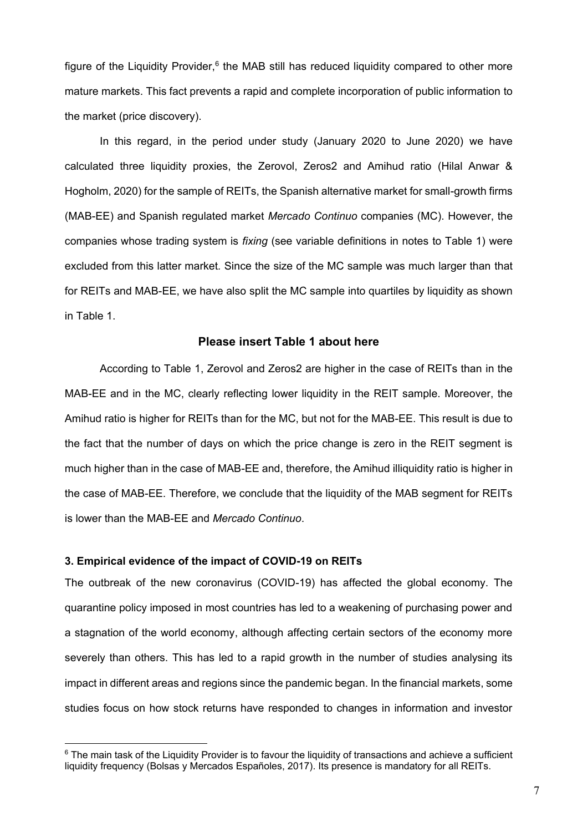figure of the Liquidity Provider, $6$  the MAB still has reduced liquidity compared to other more mature markets. This fact prevents a rapid and complete incorporation of public information to the market (price discovery).

In this regard, in the period under study (January 2020 to June 2020) we have calculated three liquidity proxies, the Zerovol, Zeros2 and Amihud ratio (Hilal Anwar & Hogholm, 2020) for the sample of REITs, the Spanish alternative market for small-growth firms (MAB-EE) and Spanish regulated market *Mercado Continuo* companies (MC). However, the companies whose trading system is *fixing* (see variable definitions in notes to Table 1) were excluded from this latter market*.* Since the size of the MC sample was much larger than that for REITs and MAB-EE, we have also split the MC sample into quartiles by liquidity as shown in Table 1.

## **Please insert Table 1 about here**

According to Table 1, Zerovol and Zeros2 are higher in the case of REITs than in the MAB-EE and in the MC, clearly reflecting lower liquidity in the REIT sample. Moreover, the Amihud ratio is higher for REITs than for the MC, but not for the MAB-EE. This result is due to the fact that the number of days on which the price change is zero in the REIT segment is much higher than in the case of MAB-EE and, therefore, the Amihud illiquidity ratio is higher in the case of MAB-EE. Therefore, we conclude that the liquidity of the MAB segment for REITs is lower than the MAB-EE and *Mercado Continuo*.

# **3. Empirical evidence of the impact of COVID-19 on REITs**

The outbreak of the new coronavirus (COVID-19) has affected the global economy. The quarantine policy imposed in most countries has led to a weakening of purchasing power and a stagnation of the world economy, although affecting certain sectors of the economy more severely than others. This has led to a rapid growth in the number of studies analysing its impact in different areas and regions since the pandemic began. In the financial markets, some studies focus on how stock returns have responded to changes in information and investor

 $6$  The main task of the Liquidity Provider is to favour the liquidity of transactions and achieve a sufficient liquidity frequency (Bolsas y Mercados Españoles, 2017). Its presence is mandatory for all REITs.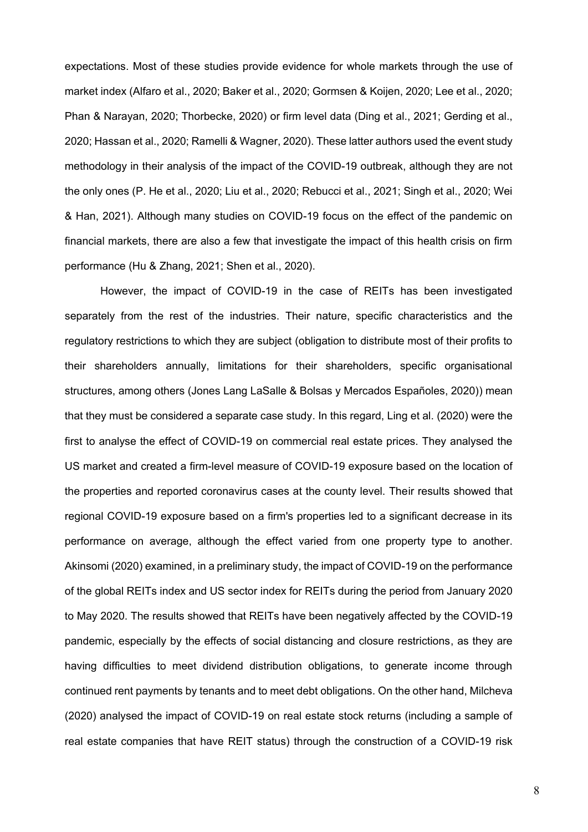expectations. Most of these studies provide evidence for whole markets through the use of market index (Alfaro et al., 2020; Baker et al., 2020; Gormsen & Koijen, 2020; Lee et al., 2020; Phan & Narayan, 2020; Thorbecke, 2020) or firm level data (Ding et al., 2021; Gerding et al., 2020; Hassan et al., 2020; Ramelli & Wagner, 2020). These latter authors used the event study methodology in their analysis of the impact of the COVID-19 outbreak, although they are not the only ones (P. He et al., 2020; Liu et al., 2020; Rebucci et al., 2021; Singh et al., 2020; Wei & Han, 2021). Although many studies on COVID-19 focus on the effect of the pandemic on financial markets, there are also a few that investigate the impact of this health crisis on firm performance (Hu & Zhang, 2021; Shen et al., 2020).

However, the impact of COVID-19 in the case of REITs has been investigated separately from the rest of the industries. Their nature, specific characteristics and the regulatory restrictions to which they are subject (obligation to distribute most of their profits to their shareholders annually, limitations for their shareholders, specific organisational structures, among others (Jones Lang LaSalle & Bolsas y Mercados Españoles, 2020)) mean that they must be considered a separate case study. In this regard, Ling et al. (2020) were the first to analyse the effect of COVID-19 on commercial real estate prices. They analysed the US market and created a firm-level measure of COVID-19 exposure based on the location of the properties and reported coronavirus cases at the county level. Their results showed that regional COVID-19 exposure based on a firm's properties led to a significant decrease in its performance on average, although the effect varied from one property type to another. Akinsomi (2020) examined, in a preliminary study, the impact of COVID-19 on the performance of the global REITs index and US sector index for REITs during the period from January 2020 to May 2020. The results showed that REITs have been negatively affected by the COVID-19 pandemic, especially by the effects of social distancing and closure restrictions, as they are having difficulties to meet dividend distribution obligations, to generate income through continued rent payments by tenants and to meet debt obligations. On the other hand, Milcheva (2020) analysed the impact of COVID-19 on real estate stock returns (including a sample of real estate companies that have REIT status) through the construction of a COVID-19 risk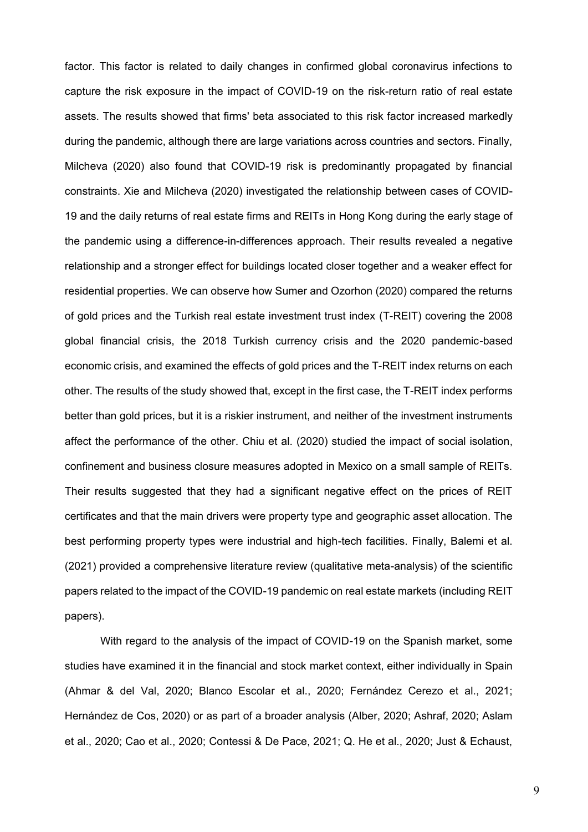factor. This factor is related to daily changes in confirmed global coronavirus infections to capture the risk exposure in the impact of COVID-19 on the risk-return ratio of real estate assets. The results showed that firms' beta associated to this risk factor increased markedly during the pandemic, although there are large variations across countries and sectors. Finally, Milcheva (2020) also found that COVID-19 risk is predominantly propagated by financial constraints. Xie and Milcheva (2020) investigated the relationship between cases of COVID-19 and the daily returns of real estate firms and REITs in Hong Kong during the early stage of the pandemic using a difference-in-differences approach. Their results revealed a negative relationship and a stronger effect for buildings located closer together and a weaker effect for residential properties. We can observe how Sumer and Ozorhon (2020) compared the returns of gold prices and the Turkish real estate investment trust index (T-REIT) covering the 2008 global financial crisis, the 2018 Turkish currency crisis and the 2020 pandemic-based economic crisis, and examined the effects of gold prices and the T-REIT index returns on each other. The results of the study showed that, except in the first case, the T-REIT index performs better than gold prices, but it is a riskier instrument, and neither of the investment instruments affect the performance of the other. Chiu et al. (2020) studied the impact of social isolation, confinement and business closure measures adopted in Mexico on a small sample of REITs. Their results suggested that they had a significant negative effect on the prices of REIT certificates and that the main drivers were property type and geographic asset allocation. The best performing property types were industrial and high-tech facilities. Finally, Balemi et al. (2021) provided a comprehensive literature review (qualitative meta-analysis) of the scientific papers related to the impact of the COVID-19 pandemic on real estate markets (including REIT papers).

With regard to the analysis of the impact of COVID-19 on the Spanish market, some studies have examined it in the financial and stock market context, either individually in Spain (Ahmar & del Val, 2020; Blanco Escolar et al., 2020; Fernández Cerezo et al., 2021; Hernández de Cos, 2020) or as part of a broader analysis (Alber, 2020; Ashraf, 2020; Aslam et al., 2020; Cao et al., 2020; Contessi & De Pace, 2021; Q. He et al., 2020; Just & Echaust,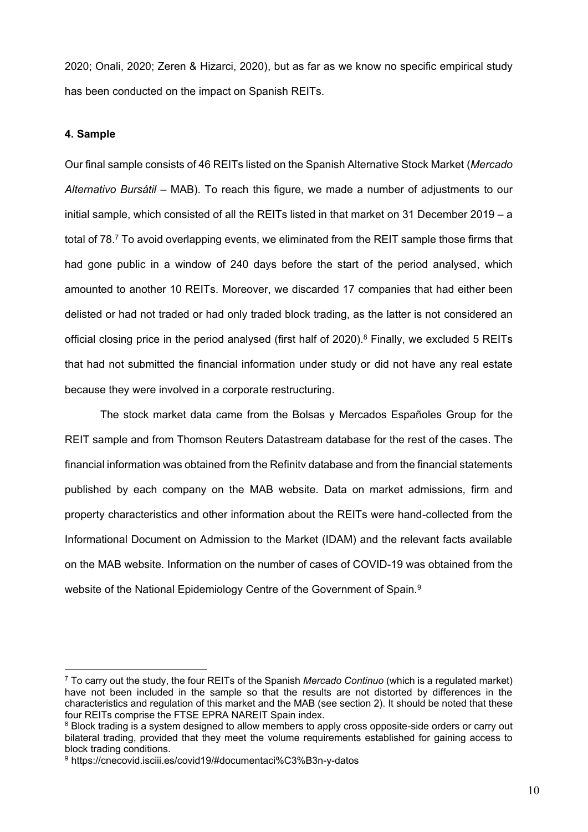2020; Onali, 2020; Zeren & Hizarci, 2020), but as far as we know no specific empirical study has been conducted on the impact on Spanish REITs.

# **4. Sample**

Our final sample consists of 46 REITs listed on the Spanish Alternative Stock Market (*Mercado Alternativo Bursátil* – MAB). To reach this figure, we made a number of adjustments to our initial sample, which consisted of all the REITs listed in that market on 31 December 2019 – a total of 78.<sup>7</sup> To avoid overlapping events, we eliminated from the REIT sample those firms that had gone public in a window of 240 days before the start of the period analysed, which amounted to another 10 REITs. Moreover, we discarded 17 companies that had either been delisted or had not traded or had only traded block trading, as the latter is not considered an official closing price in the period analysed (first half of 2020).<sup>8</sup> Finally, we excluded 5 REITs that had not submitted the financial information under study or did not have any real estate because they were involved in a corporate restructuring.

The stock market data came from the Bolsas y Mercados Españoles Group for the REIT sample and from Thomson Reuters Datastream database for the rest of the cases. The financial information was obtained from the Refinitv database and from the financial statements published by each company on the MAB website. Data on market admissions, firm and property characteristics and other information about the REITs were hand-collected from the Informational Document on Admission to the Market (IDAM) and the relevant facts available on the MAB website. Information on the number of cases of COVID-19 was obtained from the website of the National Epidemiology Centre of the Government of Spain.<sup>9</sup>

<sup>7</sup> To carry out the study, the four REITs of the Spanish *Mercado Continuo* (which is a regulated market) have not been included in the sample so that the results are not distorted by differences in the characteristics and regulation of this market and the MAB (see section 2). It should be noted that these four REITs comprise the FTSE EPRA NAREIT Spain index.

<sup>&</sup>lt;sup>8</sup> Block trading is a system designed to allow members to apply cross opposite-side orders or carry out bilateral trading, provided that they meet the volume requirements established for gaining access to block trading conditions.

<sup>9</sup> https://cnecovid.isciii.es/covid19/#documentaci%C3%B3n-y-datos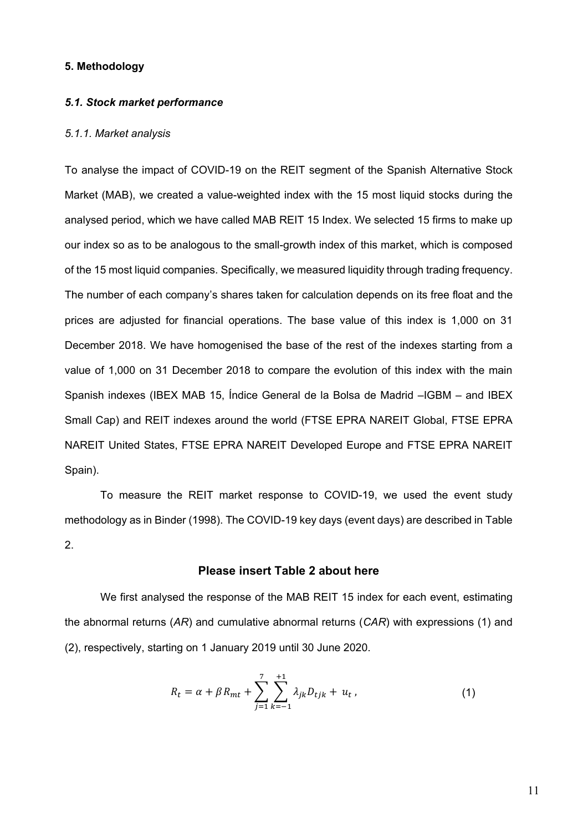### **5. Methodology**

#### *5.1. Stock market performance*

#### *5.1.1. Market analysis*

To analyse the impact of COVID-19 on the REIT segment of the Spanish Alternative Stock Market (MAB), we created a value-weighted index with the 15 most liquid stocks during the analysed period, which we have called MAB REIT 15 Index. We selected 15 firms to make up our index so as to be analogous to the small-growth index of this market, which is composed of the 15 most liquid companies. Specifically, we measured liquidity through trading frequency. The number of each company's shares taken for calculation depends on its free float and the prices are adjusted for financial operations. The base value of this index is 1,000 on 31 December 2018. We have homogenised the base of the rest of the indexes starting from a value of 1,000 on 31 December 2018 to compare the evolution of this index with the main Spanish indexes (IBEX MAB 15, Índice General de la Bolsa de Madrid –IGBM – and IBEX Small Cap) and REIT indexes around the world (FTSE EPRA NAREIT Global, FTSE EPRA NAREIT United States, FTSE EPRA NAREIT Developed Europe and FTSE EPRA NAREIT Spain).

To measure the REIT market response to COVID-19, we used the event study methodology as in Binder (1998). The COVID-19 key days (event days) are described in Table 2.

# **Please insert Table 2 about here**

We first analysed the response of the MAB REIT 15 index for each event, estimating the abnormal returns (*AR*) and cumulative abnormal returns (*CAR*) with expressions (1) and (2), respectively, starting on 1 January 2019 until 30 June 2020.

$$
R_t = \alpha + \beta R_{mt} + \sum_{j=1}^{7} \sum_{k=-1}^{+1} \lambda_{jk} D_{tjk} + u_t, \qquad (1)
$$

11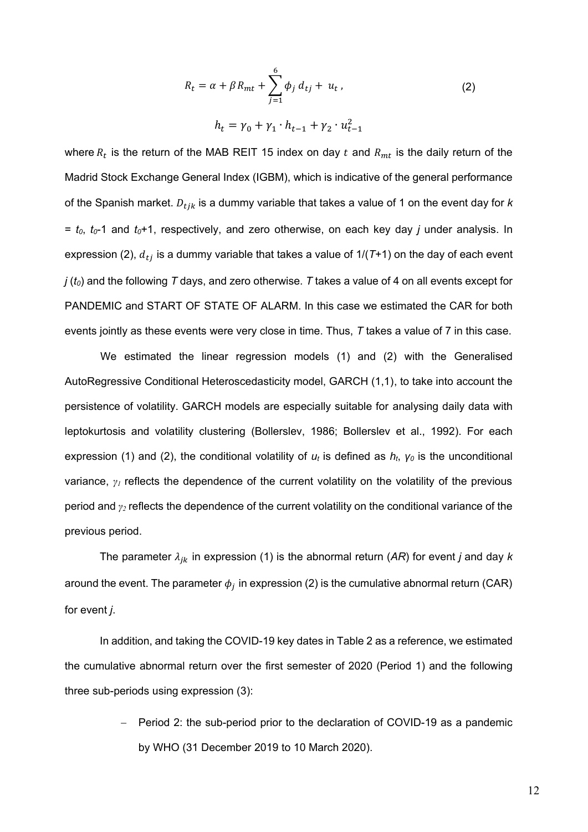$$
R_{t} = \alpha + \beta R_{mt} + \sum_{j=1}^{6} \phi_{j} d_{tj} + u_{t},
$$
\n
$$
h_{t} = \gamma_{0} + \gamma_{1} \cdot h_{t-1} + \gamma_{2} \cdot u_{t-1}^{2}
$$
\n(2)

where  $R_t$  is the return of the MAB REIT 15 index on day  $t$  and  $R_{mt}$  is the daily return of the Madrid Stock Exchange General Index (IGBM), which is indicative of the general performance of the Spanish market.  $D_{tjk}$  is a dummy variable that takes a value of 1 on the event day for  $k$ = *t0*, *t0*-1 and *t0*+1, respectively, and zero otherwise, on each key day *j* under analysis. In expression (2),  $d_{tj}$  is a dummy variable that takes a value of  $1/(T+1)$  on the day of each event *j* (*t0*) and the following *T* days, and zero otherwise. *T* takes a value of 4 on all events except for PANDEMIC and START OF STATE OF ALARM. In this case we estimated the CAR for both events jointly as these events were very close in time. Thus, *T* takes a value of 7 in this case.

We estimated the linear regression models (1) and (2) with the Generalised AutoRegressive Conditional Heteroscedasticity model, GARCH (1,1), to take into account the persistence of volatility. GARCH models are especially suitable for analysing daily data with leptokurtosis and volatility clustering (Bollerslev, 1986; Bollerslev et al., 1992). For each expression (1) and (2), the conditional volatility of *u<sup>t</sup>* is defined as *ht*, *γ<sup>0</sup>* is the unconditional variance, *γ<sup>1</sup>* reflects the dependence of the current volatility on the volatility of the previous period and *γ<sup>2</sup>* reflects the dependence of the current volatility on the conditional variance of the previous period.

The parameter  $\lambda_{jk}$  in expression (1) is the abnormal return (AR) for event *j* and day *k* around the event. The parameter  $\phi_j$  in expression (2) is the cumulative abnormal return (CAR) for event *j*.

In addition, and taking the COVID-19 key dates in Table 2 as a reference, we estimated the cumulative abnormal return over the first semester of 2020 (Period 1) and the following three sub-periods using expression (3):

> - Period 2: the sub-period prior to the declaration of COVID-19 as a pandemic by WHO (31 December 2019 to 10 March 2020).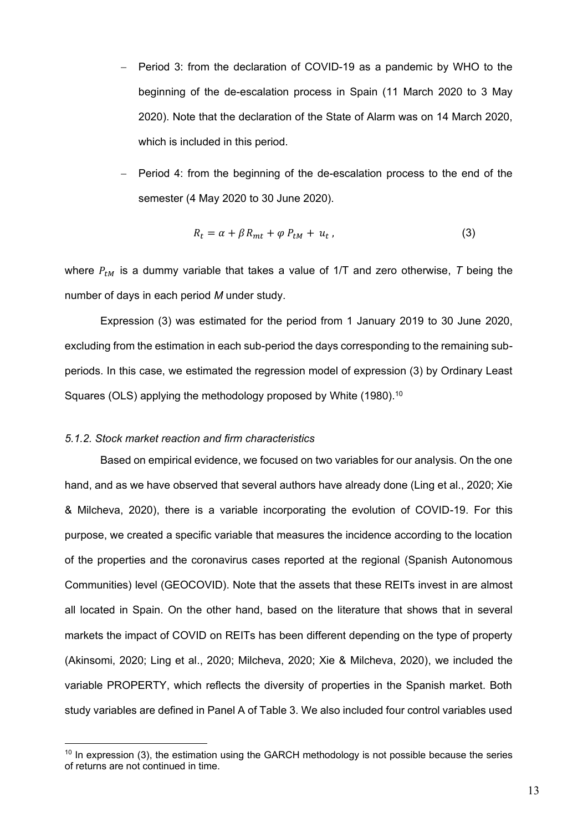- Period 3: from the declaration of COVID-19 as a pandemic by WHO to the beginning of the de-escalation process in Spain (11 March 2020 to 3 May 2020). Note that the declaration of the State of Alarm was on 14 March 2020, which is included in this period.
- Period 4: from the beginning of the de-escalation process to the end of the semester (4 May 2020 to 30 June 2020).

$$
R_t = \alpha + \beta R_{mt} + \varphi P_{tM} + u_t, \qquad (3)
$$

where  $P_{tM}$  is a dummy variable that takes a value of 1/T and zero otherwise, *T* being the number of days in each period *M* under study.

Expression (3) was estimated for the period from 1 January 2019 to 30 June 2020, excluding from the estimation in each sub-period the days corresponding to the remaining subperiods. In this case, we estimated the regression model of expression (3) by Ordinary Least Squares (OLS) applying the methodology proposed by White (1980).<sup>10</sup>

#### *5.1.2. Stock market reaction and firm characteristics*

Based on empirical evidence, we focused on two variables for our analysis. On the one hand, and as we have observed that several authors have already done (Ling et al., 2020; Xie & Milcheva, 2020), there is a variable incorporating the evolution of COVID-19. For this purpose, we created a specific variable that measures the incidence according to the location of the properties and the coronavirus cases reported at the regional (Spanish Autonomous Communities) level (GEOCOVID). Note that the assets that these REITs invest in are almost all located in Spain. On the other hand, based on the literature that shows that in several markets the impact of COVID on REITs has been different depending on the type of property (Akinsomi, 2020; Ling et al., 2020; Milcheva, 2020; Xie & Milcheva, 2020), we included the variable PROPERTY, which reflects the diversity of properties in the Spanish market. Both study variables are defined in Panel A of Table 3. We also included four control variables used

 $10$  In expression (3), the estimation using the GARCH methodology is not possible because the series of returns are not continued in time.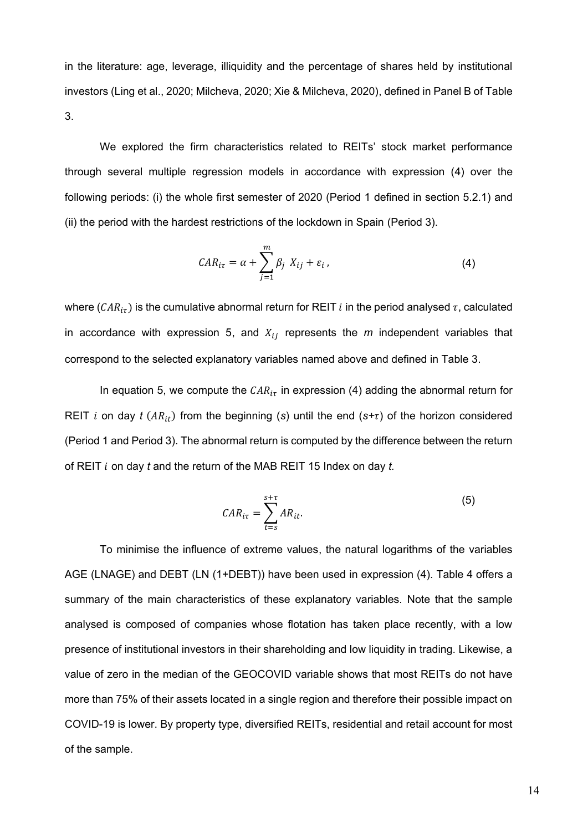in the literature: age, leverage, illiquidity and the percentage of shares held by institutional investors (Ling et al., 2020; Milcheva, 2020; Xie & Milcheva, 2020), defined in Panel B of Table 3.

We explored the firm characteristics related to REITs' stock market performance through several multiple regression models in accordance with expression (4) over the following periods: (i) the whole first semester of 2020 (Period 1 defined in section 5.2.1) and (ii) the period with the hardest restrictions of the lockdown in Spain (Period 3).

$$
CAR_{i\tau} = \alpha + \sum_{j=1}^{m} \beta_j \ X_{ij} + \varepsilon_i \,, \tag{4}
$$

where ( $CAR_{i\tau}$ ) is the cumulative abnormal return for REIT *i* in the period analysed  $\tau$ , calculated in accordance with expression 5, and  $X_{ij}$  represents the  $m$  independent variables that correspond to the selected explanatory variables named above and defined in Table 3.

In equation 5, we compute the  $CAR_{i\tau}$  in expression (4) adding the abnormal return for REIT *i* on day *t* ( $AR_{it}$ ) from the beginning (*s*) until the end ( $s+\tau$ ) of the horizon considered (Period 1 and Period 3). The abnormal return is computed by the difference between the return of REIT ݅ on day *t* and the return of the MAB REIT 15 Index on day *t.*

$$
CAR_{it} = \sum_{t=s}^{s+\tau} AR_{it}.
$$
 (5)

To minimise the influence of extreme values, the natural logarithms of the variables AGE (LNAGE) and DEBT (LN (1+DEBT)) have been used in expression (4). Table 4 offers a summary of the main characteristics of these explanatory variables. Note that the sample analysed is composed of companies whose flotation has taken place recently, with a low presence of institutional investors in their shareholding and low liquidity in trading. Likewise, a value of zero in the median of the GEOCOVID variable shows that most REITs do not have more than 75% of their assets located in a single region and therefore their possible impact on COVID-19 is lower. By property type, diversified REITs, residential and retail account for most of the sample.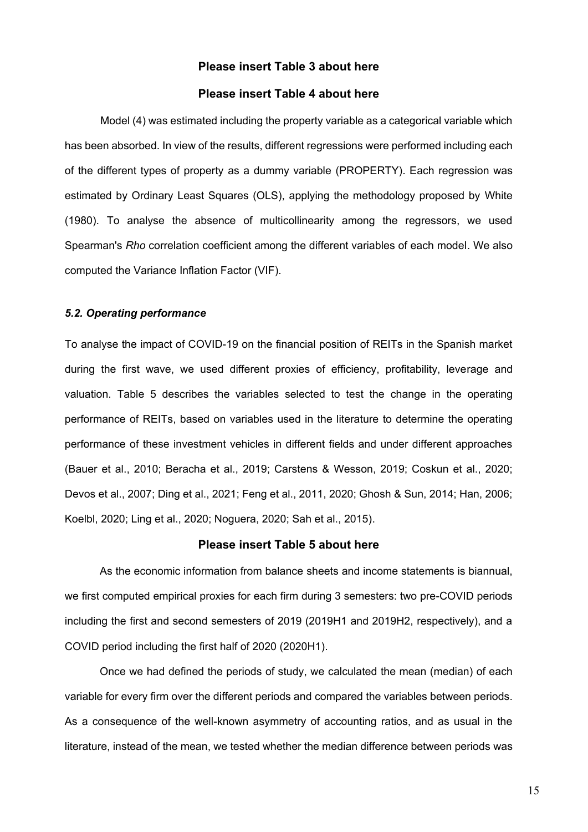# **Please insert Table 3 about here**

# **Please insert Table 4 about here**

Model (4) was estimated including the property variable as a categorical variable which has been absorbed. In view of the results, different regressions were performed including each of the different types of property as a dummy variable (PROPERTY). Each regression was estimated by Ordinary Least Squares (OLS), applying the methodology proposed by White (1980). To analyse the absence of multicollinearity among the regressors, we used Spearman's *Rho* correlation coefficient among the different variables of each model. We also computed the Variance Inflation Factor (VIF).

### *5.2. Operating performance*

To analyse the impact of COVID-19 on the financial position of REITs in the Spanish market during the first wave, we used different proxies of efficiency, profitability, leverage and valuation. Table 5 describes the variables selected to test the change in the operating performance of REITs, based on variables used in the literature to determine the operating performance of these investment vehicles in different fields and under different approaches (Bauer et al., 2010; Beracha et al., 2019; Carstens & Wesson, 2019; Coskun et al., 2020; Devos et al., 2007; Ding et al., 2021; Feng et al., 2011, 2020; Ghosh & Sun, 2014; Han, 2006; Koelbl, 2020; Ling et al., 2020; Noguera, 2020; Sah et al., 2015).

### **Please insert Table 5 about here**

As the economic information from balance sheets and income statements is biannual, we first computed empirical proxies for each firm during 3 semesters: two pre-COVID periods including the first and second semesters of 2019 (2019H1 and 2019H2, respectively), and a COVID period including the first half of 2020 (2020H1).

Once we had defined the periods of study, we calculated the mean (median) of each variable for every firm over the different periods and compared the variables between periods. As a consequence of the well-known asymmetry of accounting ratios, and as usual in the literature, instead of the mean, we tested whether the median difference between periods was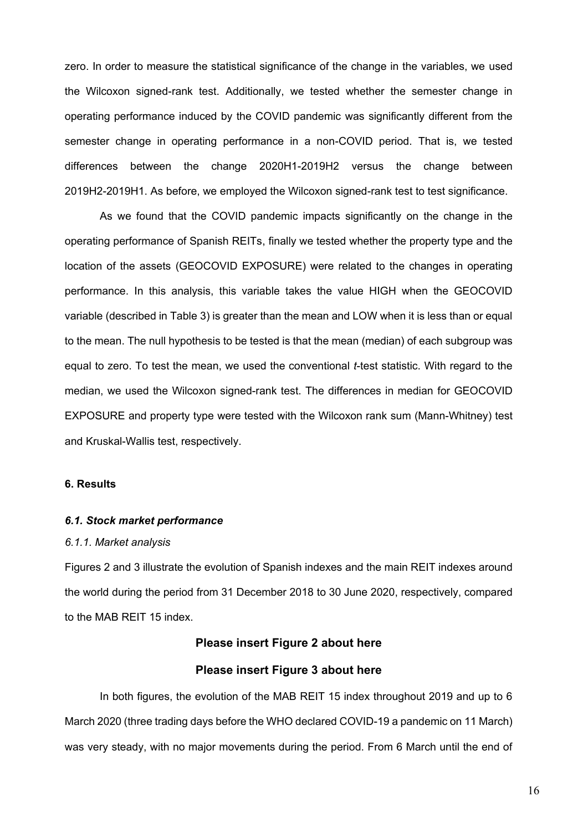zero. In order to measure the statistical significance of the change in the variables, we used the Wilcoxon signed-rank test. Additionally, we tested whether the semester change in operating performance induced by the COVID pandemic was significantly different from the semester change in operating performance in a non-COVID period. That is, we tested differences between the change 2020H1-2019H2 versus the change between 2019H2-2019H1. As before, we employed the Wilcoxon signed-rank test to test significance.

As we found that the COVID pandemic impacts significantly on the change in the operating performance of Spanish REITs, finally we tested whether the property type and the location of the assets (GEOCOVID EXPOSURE) were related to the changes in operating performance. In this analysis, this variable takes the value HIGH when the GEOCOVID variable (described in Table 3) is greater than the mean and LOW when it is less than or equal to the mean. The null hypothesis to be tested is that the mean (median) of each subgroup was equal to zero. To test the mean, we used the conventional *t*-test statistic. With regard to the median, we used the Wilcoxon signed-rank test. The differences in median for GEOCOVID EXPOSURE and property type were tested with the Wilcoxon rank sum (Mann-Whitney) test and Kruskal-Wallis test, respectively.

# **6. Results**

#### *6.1. Stock market performance*

#### *6.1.1. Market analysis*

Figures 2 and 3 illustrate the evolution of Spanish indexes and the main REIT indexes around the world during the period from 31 December 2018 to 30 June 2020, respectively, compared to the MAB REIT 15 index.

# **Please insert Figure 2 about here**

# **Please insert Figure 3 about here**

In both figures, the evolution of the MAB REIT 15 index throughout 2019 and up to 6 March 2020 (three trading days before the WHO declared COVID-19 a pandemic on 11 March) was very steady, with no major movements during the period. From 6 March until the end of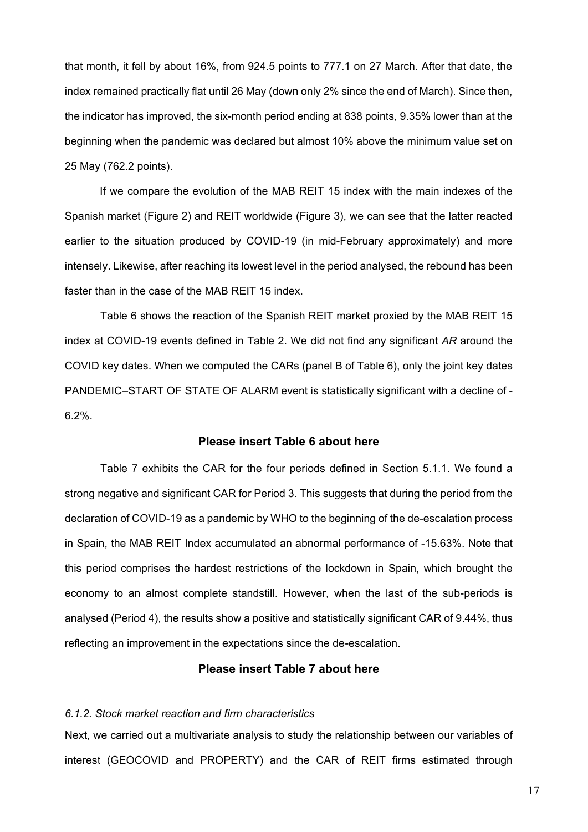that month, it fell by about 16%, from 924.5 points to 777.1 on 27 March. After that date, the index remained practically flat until 26 May (down only 2% since the end of March). Since then, the indicator has improved, the six-month period ending at 838 points, 9.35% lower than at the beginning when the pandemic was declared but almost 10% above the minimum value set on 25 May (762.2 points).

If we compare the evolution of the MAB REIT 15 index with the main indexes of the Spanish market (Figure 2) and REIT worldwide (Figure 3), we can see that the latter reacted earlier to the situation produced by COVID-19 (in mid-February approximately) and more intensely. Likewise, after reaching its lowest level in the period analysed, the rebound has been faster than in the case of the MAB REIT 15 index.

Table 6 shows the reaction of the Spanish REIT market proxied by the MAB REIT 15 index at COVID-19 events defined in Table 2. We did not find any significant *AR* around the COVID key dates. When we computed the CARs (panel B of Table 6), only the joint key dates PANDEMIC–START OF STATE OF ALARM event is statistically significant with a decline of - 6.2%.

# **Please insert Table 6 about here**

Table 7 exhibits the CAR for the four periods defined in Section 5.1.1. We found a strong negative and significant CAR for Period 3. This suggests that during the period from the declaration of COVID-19 as a pandemic by WHO to the beginning of the de-escalation process in Spain, the MAB REIT Index accumulated an abnormal performance of -15.63%. Note that this period comprises the hardest restrictions of the lockdown in Spain, which brought the economy to an almost complete standstill. However, when the last of the sub-periods is analysed (Period 4), the results show a positive and statistically significant CAR of 9.44%, thus reflecting an improvement in the expectations since the de-escalation.

# **Please insert Table 7 about here**

### *6.1.2. Stock market reaction and firm characteristics*

Next, we carried out a multivariate analysis to study the relationship between our variables of interest (GEOCOVID and PROPERTY) and the CAR of REIT firms estimated through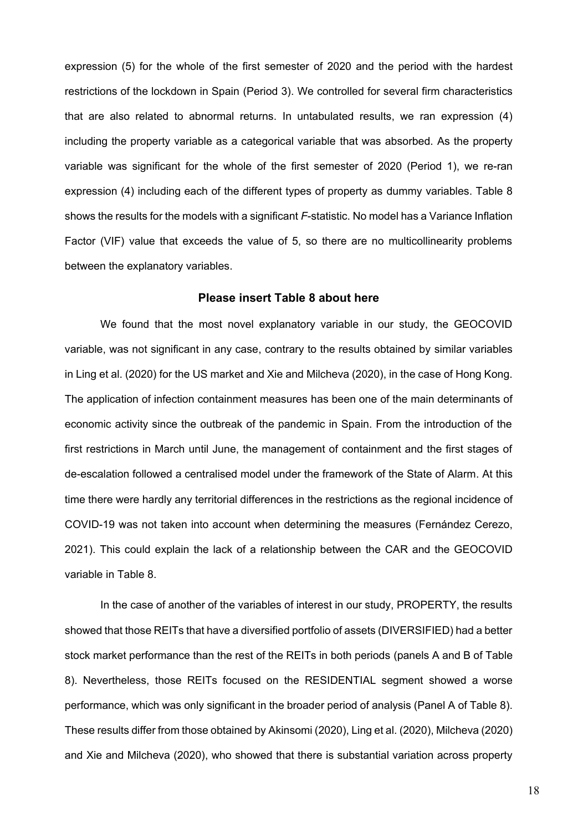expression (5) for the whole of the first semester of 2020 and the period with the hardest restrictions of the lockdown in Spain (Period 3). We controlled for several firm characteristics that are also related to abnormal returns. In untabulated results, we ran expression (4) including the property variable as a categorical variable that was absorbed. As the property variable was significant for the whole of the first semester of 2020 (Period 1), we re-ran expression (4) including each of the different types of property as dummy variables. Table 8 shows the results for the models with a significant *F*-statistic. No model has a Variance Inflation Factor (VIF) value that exceeds the value of 5, so there are no multicollinearity problems between the explanatory variables.

### **Please insert Table 8 about here**

We found that the most novel explanatory variable in our study, the GEOCOVID variable, was not significant in any case, contrary to the results obtained by similar variables in Ling et al. (2020) for the US market and Xie and Milcheva (2020), in the case of Hong Kong. The application of infection containment measures has been one of the main determinants of economic activity since the outbreak of the pandemic in Spain. From the introduction of the first restrictions in March until June, the management of containment and the first stages of de-escalation followed a centralised model under the framework of the State of Alarm. At this time there were hardly any territorial differences in the restrictions as the regional incidence of COVID-19 was not taken into account when determining the measures (Fernández Cerezo, 2021). This could explain the lack of a relationship between the CAR and the GEOCOVID variable in Table 8.

In the case of another of the variables of interest in our study, PROPERTY, the results showed that those REITs that have a diversified portfolio of assets (DIVERSIFIED) had a better stock market performance than the rest of the REITs in both periods (panels A and B of Table 8). Nevertheless, those REITs focused on the RESIDENTIAL segment showed a worse performance, which was only significant in the broader period of analysis (Panel A of Table 8). These results differ from those obtained by Akinsomi (2020), Ling et al. (2020), Milcheva (2020) and Xie and Milcheva (2020), who showed that there is substantial variation across property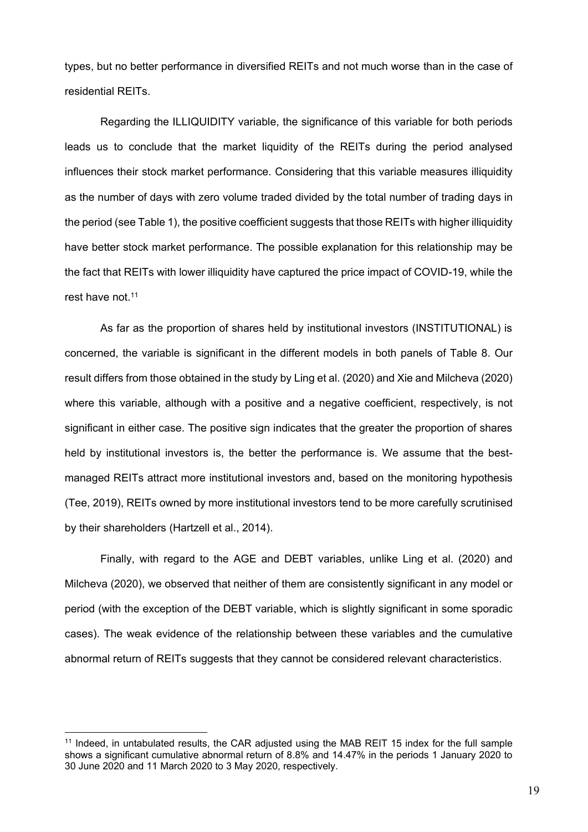types, but no better performance in diversified REITs and not much worse than in the case of residential REITs.

Regarding the ILLIQUIDITY variable, the significance of this variable for both periods leads us to conclude that the market liquidity of the REITs during the period analysed influences their stock market performance. Considering that this variable measures illiquidity as the number of days with zero volume traded divided by the total number of trading days in the period (see Table 1), the positive coefficient suggests that those REITs with higher illiquidity have better stock market performance. The possible explanation for this relationship may be the fact that REITs with lower illiquidity have captured the price impact of COVID-19, while the rest have not.<sup>11</sup>

As far as the proportion of shares held by institutional investors (INSTITUTIONAL) is concerned, the variable is significant in the different models in both panels of Table 8. Our result differs from those obtained in the study by Ling et al. (2020) and Xie and Milcheva (2020) where this variable, although with a positive and a negative coefficient, respectively, is not significant in either case. The positive sign indicates that the greater the proportion of shares held by institutional investors is, the better the performance is. We assume that the bestmanaged REITs attract more institutional investors and, based on the monitoring hypothesis (Tee, 2019), REITs owned by more institutional investors tend to be more carefully scrutinised by their shareholders (Hartzell et al., 2014).

Finally, with regard to the AGE and DEBT variables, unlike Ling et al. (2020) and Milcheva (2020), we observed that neither of them are consistently significant in any model or period (with the exception of the DEBT variable, which is slightly significant in some sporadic cases). The weak evidence of the relationship between these variables and the cumulative abnormal return of REITs suggests that they cannot be considered relevant characteristics.

<sup>&</sup>lt;sup>11</sup> Indeed, in untabulated results, the CAR adjusted using the MAB REIT 15 index for the full sample shows a significant cumulative abnormal return of 8.8% and 14.47% in the periods 1 January 2020 to 30 June 2020 and 11 March 2020 to 3 May 2020, respectively.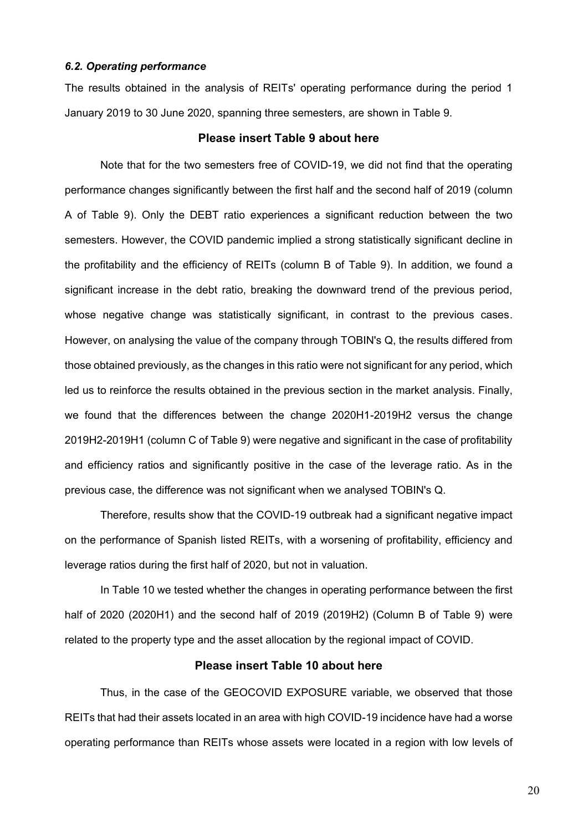### *6.2. Operating performance*

The results obtained in the analysis of REITs' operating performance during the period 1 January 2019 to 30 June 2020, spanning three semesters, are shown in Table 9.

## **Please insert Table 9 about here**

Note that for the two semesters free of COVID-19, we did not find that the operating performance changes significantly between the first half and the second half of 2019 (column A of Table 9). Only the DEBT ratio experiences a significant reduction between the two semesters. However, the COVID pandemic implied a strong statistically significant decline in the profitability and the efficiency of REITs (column B of Table 9). In addition, we found a significant increase in the debt ratio, breaking the downward trend of the previous period, whose negative change was statistically significant, in contrast to the previous cases. However, on analysing the value of the company through TOBIN's Q, the results differed from those obtained previously, as the changes in this ratio were not significant for any period, which led us to reinforce the results obtained in the previous section in the market analysis. Finally, we found that the differences between the change 2020H1-2019H2 versus the change 2019H2-2019H1 (column C of Table 9) were negative and significant in the case of profitability and efficiency ratios and significantly positive in the case of the leverage ratio. As in the previous case, the difference was not significant when we analysed TOBIN's Q.

Therefore, results show that the COVID-19 outbreak had a significant negative impact on the performance of Spanish listed REITs, with a worsening of profitability, efficiency and leverage ratios during the first half of 2020, but not in valuation.

In Table 10 we tested whether the changes in operating performance between the first half of 2020 (2020H1) and the second half of 2019 (2019H2) (Column B of Table 9) were related to the property type and the asset allocation by the regional impact of COVID.

# **Please insert Table 10 about here**

Thus, in the case of the GEOCOVID EXPOSURE variable, we observed that those REITs that had their assets located in an area with high COVID-19 incidence have had a worse operating performance than REITs whose assets were located in a region with low levels of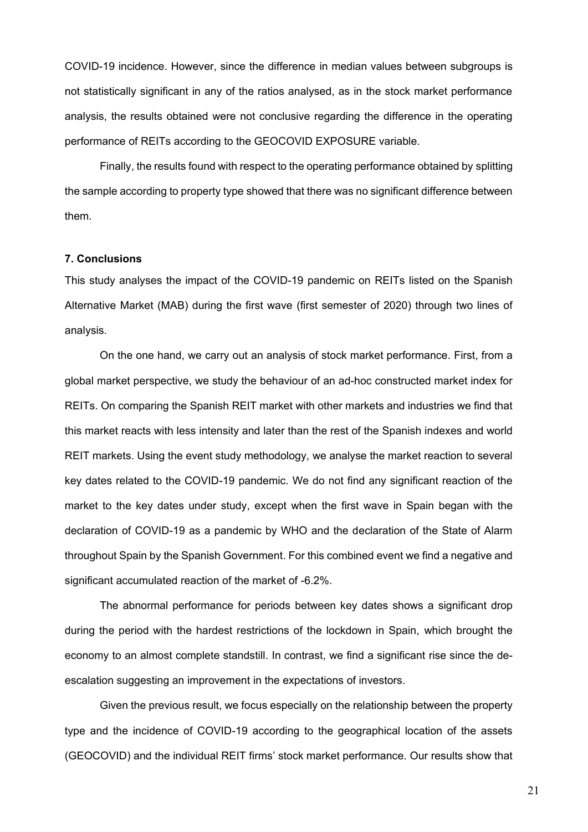COVID-19 incidence. However, since the difference in median values between subgroups is not statistically significant in any of the ratios analysed, as in the stock market performance analysis, the results obtained were not conclusive regarding the difference in the operating performance of REITs according to the GEOCOVID EXPOSURE variable.

Finally, the results found with respect to the operating performance obtained by splitting the sample according to property type showed that there was no significant difference between them.

## **7. Conclusions**

This study analyses the impact of the COVID-19 pandemic on REITs listed on the Spanish Alternative Market (MAB) during the first wave (first semester of 2020) through two lines of analysis.

On the one hand, we carry out an analysis of stock market performance. First, from a global market perspective, we study the behaviour of an ad-hoc constructed market index for REITs. On comparing the Spanish REIT market with other markets and industries we find that this market reacts with less intensity and later than the rest of the Spanish indexes and world REIT markets. Using the event study methodology, we analyse the market reaction to several key dates related to the COVID-19 pandemic. We do not find any significant reaction of the market to the key dates under study, except when the first wave in Spain began with the declaration of COVID-19 as a pandemic by WHO and the declaration of the State of Alarm throughout Spain by the Spanish Government. For this combined event we find a negative and significant accumulated reaction of the market of -6.2%.

The abnormal performance for periods between key dates shows a significant drop during the period with the hardest restrictions of the lockdown in Spain, which brought the economy to an almost complete standstill. In contrast, we find a significant rise since the deescalation suggesting an improvement in the expectations of investors.

Given the previous result, we focus especially on the relationship between the property type and the incidence of COVID-19 according to the geographical location of the assets (GEOCOVID) and the individual REIT firms' stock market performance. Our results show that

21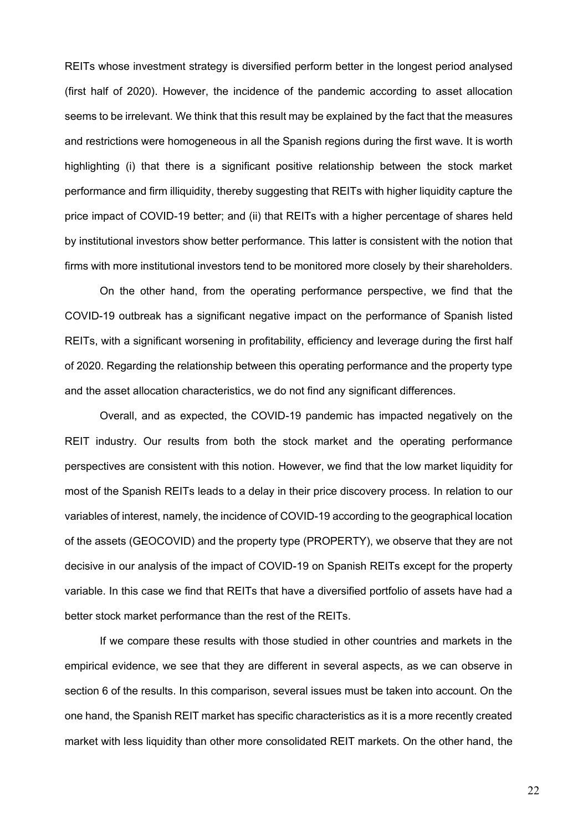REITs whose investment strategy is diversified perform better in the longest period analysed (first half of 2020). However, the incidence of the pandemic according to asset allocation seems to be irrelevant. We think that this result may be explained by the fact that the measures and restrictions were homogeneous in all the Spanish regions during the first wave. It is worth highlighting (i) that there is a significant positive relationship between the stock market performance and firm illiquidity, thereby suggesting that REITs with higher liquidity capture the price impact of COVID-19 better; and (ii) that REITs with a higher percentage of shares held by institutional investors show better performance. This latter is consistent with the notion that firms with more institutional investors tend to be monitored more closely by their shareholders.

On the other hand, from the operating performance perspective, we find that the COVID-19 outbreak has a significant negative impact on the performance of Spanish listed REITs, with a significant worsening in profitability, efficiency and leverage during the first half of 2020. Regarding the relationship between this operating performance and the property type and the asset allocation characteristics, we do not find any significant differences.

Overall, and as expected, the COVID-19 pandemic has impacted negatively on the REIT industry. Our results from both the stock market and the operating performance perspectives are consistent with this notion. However, we find that the low market liquidity for most of the Spanish REITs leads to a delay in their price discovery process. In relation to our variables of interest, namely, the incidence of COVID-19 according to the geographical location of the assets (GEOCOVID) and the property type (PROPERTY), we observe that they are not decisive in our analysis of the impact of COVID-19 on Spanish REITs except for the property variable. In this case we find that REITs that have a diversified portfolio of assets have had a better stock market performance than the rest of the REITs.

If we compare these results with those studied in other countries and markets in the empirical evidence, we see that they are different in several aspects, as we can observe in section 6 of the results. In this comparison, several issues must be taken into account. On the one hand, the Spanish REIT market has specific characteristics as it is a more recently created market with less liquidity than other more consolidated REIT markets. On the other hand, the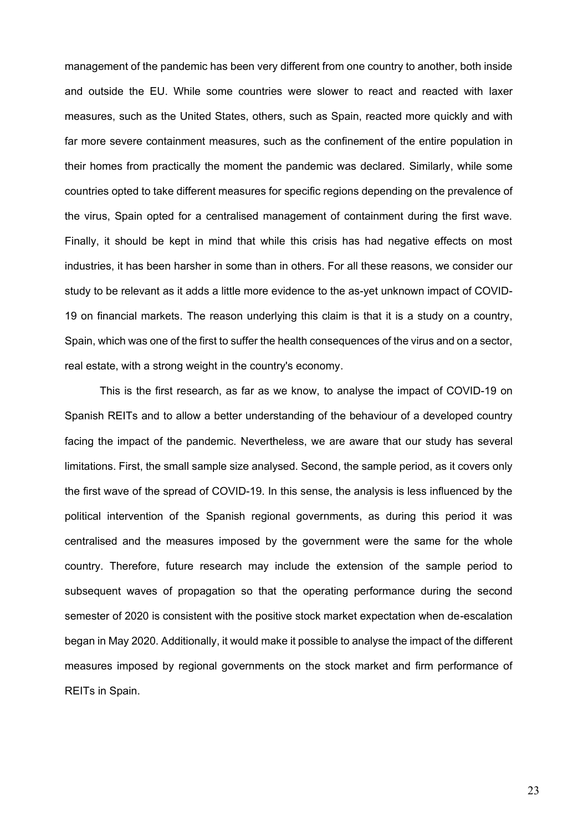management of the pandemic has been very different from one country to another, both inside and outside the EU. While some countries were slower to react and reacted with laxer measures, such as the United States, others, such as Spain, reacted more quickly and with far more severe containment measures, such as the confinement of the entire population in their homes from practically the moment the pandemic was declared. Similarly, while some countries opted to take different measures for specific regions depending on the prevalence of the virus, Spain opted for a centralised management of containment during the first wave. Finally, it should be kept in mind that while this crisis has had negative effects on most industries, it has been harsher in some than in others. For all these reasons, we consider our study to be relevant as it adds a little more evidence to the as-yet unknown impact of COVID-19 on financial markets. The reason underlying this claim is that it is a study on a country, Spain, which was one of the first to suffer the health consequences of the virus and on a sector, real estate, with a strong weight in the country's economy.

This is the first research, as far as we know, to analyse the impact of COVID-19 on Spanish REITs and to allow a better understanding of the behaviour of a developed country facing the impact of the pandemic. Nevertheless, we are aware that our study has several limitations. First, the small sample size analysed. Second, the sample period, as it covers only the first wave of the spread of COVID-19. In this sense, the analysis is less influenced by the political intervention of the Spanish regional governments, as during this period it was centralised and the measures imposed by the government were the same for the whole country. Therefore, future research may include the extension of the sample period to subsequent waves of propagation so that the operating performance during the second semester of 2020 is consistent with the positive stock market expectation when de-escalation began in May 2020. Additionally, it would make it possible to analyse the impact of the different measures imposed by regional governments on the stock market and firm performance of REITs in Spain.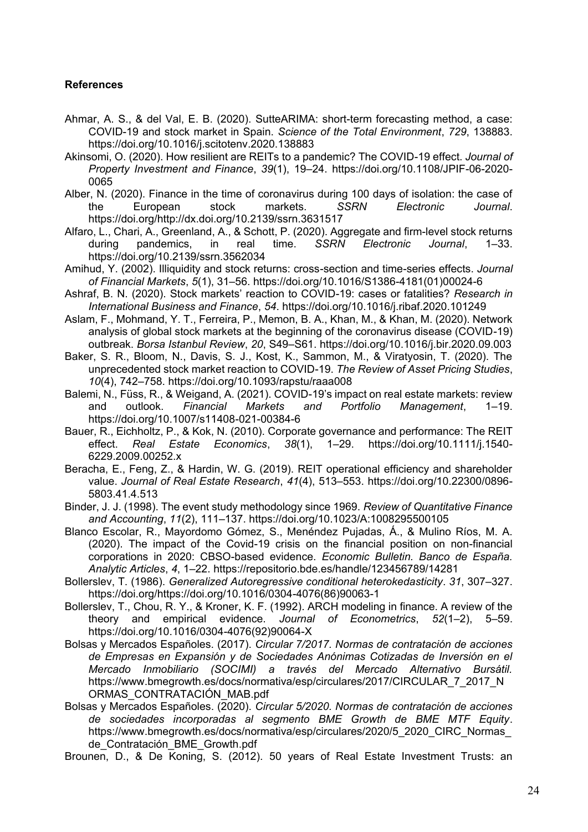# **References**

- Ahmar, A. S., & del Val, E. B. (2020). SutteARIMA: short-term forecasting method, a case: COVID-19 and stock market in Spain. *Science of the Total Environment*, *729*, 138883. https://doi.org/10.1016/j.scitotenv.2020.138883
- Akinsomi, O. (2020). How resilient are REITs to a pandemic? The COVID-19 effect. *Journal of Property Investment and Finance*, *39*(1), 19–24. https://doi.org/10.1108/JPIF-06-2020- 0065
- Alber, N. (2020). Finance in the time of coronavirus during 100 days of isolation: the case of the European stock markets. *SSRN Electronic Journal*. https://doi.org/http://dx.doi.org/10.2139/ssrn.3631517
- Alfaro, L., Chari, A., Greenland, A., & Schott, P. (2020). Aggregate and firm-level stock returns during pandemics, in real time. *SSRN Electronic Journal*, 1–33. https://doi.org/10.2139/ssrn.3562034
- Amihud, Y. (2002). Illiquidity and stock returns: cross-section and time-series effects. *Journal of Financial Markets*, *5*(1), 31–56. https://doi.org/10.1016/S1386-4181(01)00024-6
- Ashraf, B. N. (2020). Stock markets' reaction to COVID-19: cases or fatalities? *Research in International Business and Finance*, *54*. https://doi.org/10.1016/j.ribaf.2020.101249
- Aslam, F., Mohmand, Y. T., Ferreira, P., Memon, B. A., Khan, M., & Khan, M. (2020). Network analysis of global stock markets at the beginning of the coronavirus disease (COVID-19) outbreak. *Borsa Istanbul Review*, *20*, S49–S61. https://doi.org/10.1016/j.bir.2020.09.003
- Baker, S. R., Bloom, N., Davis, S. J., Kost, K., Sammon, M., & Viratyosin, T. (2020). The unprecedented stock market reaction to COVID-19. *The Review of Asset Pricing Studies*, *10*(4), 742–758. https://doi.org/10.1093/rapstu/raaa008
- Balemi, N., Füss, R., & Weigand, A. (2021). COVID-19's impact on real estate markets: review and outlook. *Financial Markets and Portfolio Management*, 1–19. https://doi.org/10.1007/s11408-021-00384-6
- Bauer, R., Eichholtz, P., & Kok, N. (2010). Corporate governance and performance: The REIT effect. *Real Estate Economics*, *38*(1), 1–29. https://doi.org/10.1111/j.1540- 6229.2009.00252.x
- Beracha, E., Feng, Z., & Hardin, W. G. (2019). REIT operational efficiency and shareholder value. *Journal of Real Estate Research*, *41*(4), 513–553. https://doi.org/10.22300/0896- 5803 41 4 513
- Binder, J. J. (1998). The event study methodology since 1969. *Review of Quantitative Finance and Accounting*, *11*(2), 111–137. https://doi.org/10.1023/A:1008295500105
- Blanco Escolar, R., Mayordomo Gómez, S., Menéndez Pujadas, Á., & Mulino Ríos, M. A. (2020). The impact of the Covid-19 crisis on the financial position on non-financial corporations in 2020: CBSO-based evidence. *Economic Bulletin. Banco de España. Analytic Articles*, *4*, 1–22. https://repositorio.bde.es/handle/123456789/14281
- Bollerslev, T. (1986). *Generalized Autoregressive conditional heterokedasticity*. *31*, 307–327. https://doi.org/https://doi.org/10.1016/0304-4076(86)90063-1
- Bollerslev, T., Chou, R. Y., & Kroner, K. F. (1992). ARCH modeling in finance. A review of the theory and empirical evidence. *Journal of Econometrics*, *52*(1–2), 5–59. https://doi.org/10.1016/0304-4076(92)90064-X
- Bolsas y Mercados Españoles. (2017). *Circular 7/2017. Normas de contratación de acciones de Empresas en Expansión y de Sociedades Anónimas Cotizadas de Inversión en el Mercado Inmobiliario (SOCIMI) a través del Mercado Alternativo Bursátil.* https://www.bmegrowth.es/docs/normativa/esp/circulares/2017/CIRCULAR\_7\_2017\_N ORMAS\_CONTRATACIÓN\_MAB.pdf
- Bolsas y Mercados Españoles. (2020). *Circular 5/2020. Normas de contratación de acciones de sociedades incorporadas al segmento BME Growth de BME MTF Equity*. https://www.bmegrowth.es/docs/normativa/esp/circulares/2020/5\_2020\_CIRC\_Normas\_ de\_Contratación\_BME\_Growth.pdf
- Brounen, D., & De Koning, S. (2012). 50 years of Real Estate Investment Trusts: an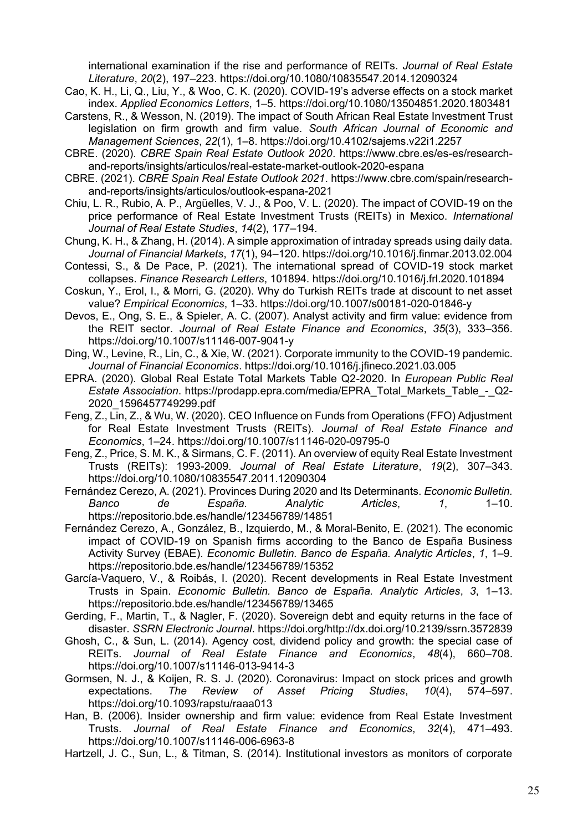international examination if the rise and performance of REITs. *Journal of Real Estate Literature*, *20*(2), 197–223. https://doi.org/10.1080/10835547.2014.12090324

- Cao, K. H., Li, Q., Liu, Y., & Woo, C. K. (2020). COVID-19's adverse effects on a stock market index. *Applied Economics Letters*, 1–5. https://doi.org/10.1080/13504851.2020.1803481
- Carstens, R., & Wesson, N. (2019). The impact of South African Real Estate Investment Trust legislation on firm growth and firm value. *South African Journal of Economic and Management Sciences*, *22*(1), 1–8. https://doi.org/10.4102/sajems.v22i1.2257
- CBRE. (2020). *CBRE Spain Real Estate Outlook 2020*. https://www.cbre.es/es-es/researchand-reports/insights/articulos/real-estate-market-outlook-2020-espana
- CBRE. (2021). *CBRE Spain Real Estate Outlook 2021*. https://www.cbre.com/spain/researchand-reports/insights/articulos/outlook-espana-2021
- Chiu, L. R., Rubio, A. P., Argüelles, V. J., & Poo, V. L. (2020). The impact of COVID-19 on the price performance of Real Estate Investment Trusts (REITs) in Mexico. *International Journal of Real Estate Studies*, *14*(2), 177–194.
- Chung, K. H., & Zhang, H. (2014). A simple approximation of intraday spreads using daily data. *Journal of Financial Markets*, *17*(1), 94–120. https://doi.org/10.1016/j.finmar.2013.02.004
- Contessi, S., & De Pace, P. (2021). The international spread of COVID-19 stock market collapses. *Finance Research Letters*, 101894. https://doi.org/10.1016/j.frl.2020.101894
- Coskun, Y., Erol, I., & Morri, G. (2020). Why do Turkish REITs trade at discount to net asset value? *Empirical Economics*, 1–33. https://doi.org/10.1007/s00181-020-01846-y
- Devos, E., Ong, S. E., & Spieler, A. C. (2007). Analyst activity and firm value: evidence from the REIT sector. *Journal of Real Estate Finance and Economics*, *35*(3), 333–356. https://doi.org/10.1007/s11146-007-9041-y
- Ding, W., Levine, R., Lin, C., & Xie, W. (2021). Corporate immunity to the COVID-19 pandemic. *Journal of Financial Economics*. https://doi.org/10.1016/j.jfineco.2021.03.005
- EPRA. (2020). Global Real Estate Total Markets Table Q2-2020. In *European Public Real Estate Association*. https://prodapp.epra.com/media/EPRA\_Total\_Markets\_Table\_-\_Q2- 2020\_1596457749299.pdf
- Feng, Z., Lin, Z., & Wu, W. (2020). CEO Influence on Funds from Operations (FFO) Adjustment for Real Estate Investment Trusts (REITs). *Journal of Real Estate Finance and Economics*, 1–24. https://doi.org/10.1007/s11146-020-09795-0
- Feng, Z., Price, S. M. K., & Sirmans, C. F. (2011). An overview of equity Real Estate Investment Trusts (REITs): 1993-2009. *Journal of Real Estate Literature*, *19*(2), 307–343. https://doi.org/10.1080/10835547.2011.12090304
- Fernández Cerezo, A. (2021). Provinces During 2020 and Its Determinants. *Economic Bulletin. Banco de España. Analytic Articles*, *1*, 1–10. https://repositorio.bde.es/handle/123456789/14851
- Fernández Cerezo, A., González, B., Izquierdo, M., & Moral-Benito, E. (2021). The economic impact of COVID-19 on Spanish firms according to the Banco de España Business Activity Survey (EBAE). *Economic Bulletin. Banco de España. Analytic Articles*, *1*, 1–9. https://repositorio.bde.es/handle/123456789/15352
- García-Vaquero, V., & Roibás, I. (2020). Recent developments in Real Estate Investment Trusts in Spain. *Economic Bulletin. Banco de España. Analytic Articles*, *3*, 1–13. https://repositorio.bde.es/handle/123456789/13465
- Gerding, F., Martin, T., & Nagler, F. (2020). Sovereign debt and equity returns in the face of disaster. *SSRN Electronic Journal*. https://doi.org/http://dx.doi.org/10.2139/ssrn.3572839
- Ghosh, C., & Sun, L. (2014). Agency cost, dividend policy and growth: the special case of REITs. *Journal of Real Estate Finance and Economics*, *48*(4), 660–708. https://doi.org/10.1007/s11146-013-9414-3
- Gormsen, N. J., & Koijen, R. S. J. (2020). Coronavirus: Impact on stock prices and growth expectations. *The Review of Asset Pricing Studies*, *10*(4), 574–597. https://doi.org/10.1093/rapstu/raaa013
- Han, B. (2006). Insider ownership and firm value: evidence from Real Estate Investment Trusts. *Journal of Real Estate Finance and Economics*, *32*(4), 471–493. https://doi.org/10.1007/s11146-006-6963-8
- Hartzell, J. C., Sun, L., & Titman, S. (2014). Institutional investors as monitors of corporate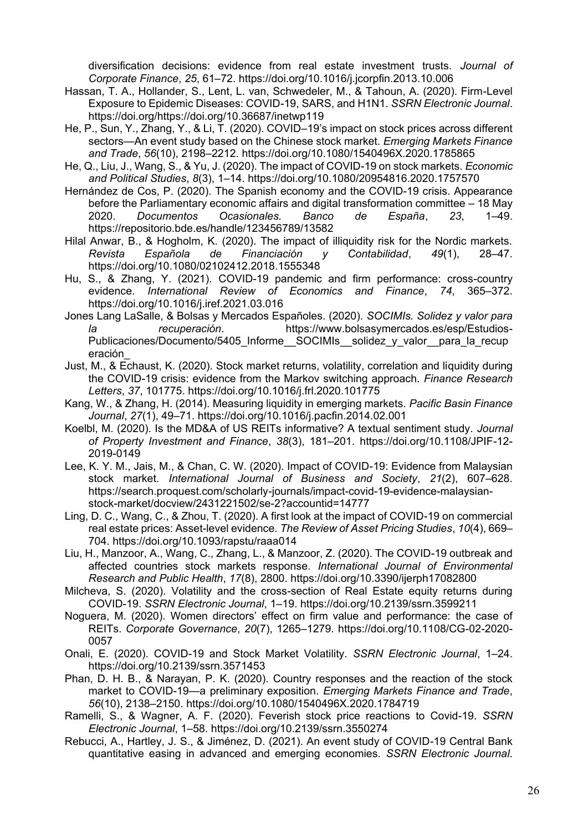diversification decisions: evidence from real estate investment trusts. *Journal of Corporate Finance*, *25*, 61–72. https://doi.org/10.1016/j.jcorpfin.2013.10.006

- Hassan, T. A., Hollander, S., Lent, L. van, Schwedeler, M., & Tahoun, A. (2020). Firm-Level Exposure to Epidemic Diseases: COVID-19, SARS, and H1N1. *SSRN Electronic Journal*. https://doi.org/https://doi.org/10.36687/inetwp119
- He, P., Sun, Y., Zhang, Y., & Li, T. (2020). COVID–19's impact on stock prices across different sectors—An event study based on the Chinese stock market. *Emerging Markets Finance and Trade*, *56*(10), 2198–2212. https://doi.org/10.1080/1540496X.2020.1785865
- He, Q., Liu, J., Wang, S., & Yu, J. (2020). The impact of COVID-19 on stock markets. *Economic and Political Studies*, *8*(3), 1–14. https://doi.org/10.1080/20954816.2020.1757570
- Hernández de Cos, P. (2020). The Spanish economy and the COVID-19 crisis. Appearance before the Parliamentary economic affairs and digital transformation committee – 18 May 2020. *Documentos Ocasionales. Banco de España*, *23*, 1–49. https://repositorio.bde.es/handle/123456789/13582
- Hilal Anwar, B., & Hogholm, K. (2020). The impact of illiquidity risk for the Nordic markets. *Revista Española de Financiación y Contabilidad*, *49*(1), 28–47. https://doi.org/10.1080/02102412.2018.1555348
- Hu, S., & Zhang, Y. (2021). COVID-19 pandemic and firm performance: cross-country evidence. *International Review of Economics and Finance*, *74*, 365–372. https://doi.org/10.1016/j.iref.2021.03.016
- Jones Lang LaSalle, & Bolsas y Mercados Españoles. (2020). *SOCIMIs. Solidez y valor para la recuperación*. https://www.bolsasymercados.es/esp/Estudios-Publicaciones/Documento/5405\_Informe\_\_SOCIMIs\_\_solidez\_v\_valor\_\_para\_la\_recup eración\_
- Just, M., & Echaust, K. (2020). Stock market returns, volatility, correlation and liquidity during the COVID-19 crisis: evidence from the Markov switching approach. *Finance Research Letters*, *37*, 101775. https://doi.org/10.1016/j.frl.2020.101775
- Kang, W., & Zhang, H. (2014). Measuring liquidity in emerging markets. *Pacific Basin Finance Journal*, *27*(1), 49–71. https://doi.org/10.1016/j.pacfin.2014.02.001
- Koelbl, M. (2020). Is the MD&A of US REITs informative? A textual sentiment study. *Journal of Property Investment and Finance*, *38*(3), 181–201. https://doi.org/10.1108/JPIF-12- 2019-0149
- Lee, K. Y. M., Jais, M., & Chan, C. W. (2020). Impact of COVID-19: Evidence from Malaysian stock market. *International Journal of Business and Society*, *21*(2), 607–628. https://search.proquest.com/scholarly-journals/impact-covid-19-evidence-malaysianstock-market/docview/2431221502/se-2?accountid=14777
- Ling, D. C., Wang, C., & Zhou, T. (2020). A first look at the impact of COVID-19 on commercial real estate prices: Asset-level evidence. *The Review of Asset Pricing Studies*, *10*(4), 669– 704. https://doi.org/10.1093/rapstu/raaa014
- Liu, H., Manzoor, A., Wang, C., Zhang, L., & Manzoor, Z. (2020). The COVID-19 outbreak and affected countries stock markets response. *International Journal of Environmental Research and Public Health*, *17*(8), 2800. https://doi.org/10.3390/ijerph17082800
- Milcheva, S. (2020). Volatility and the cross-section of Real Estate equity returns during COVID-19. *SSRN Electronic Journal*, 1–19. https://doi.org/10.2139/ssrn.3599211
- Noguera, M. (2020). Women directors' effect on firm value and performance: the case of REITs. *Corporate Governance*, *20*(7), 1265–1279. https://doi.org/10.1108/CG-02-2020- 0057
- Onali, E. (2020). COVID-19 and Stock Market Volatility. *SSRN Electronic Journal*, 1–24. https://doi.org/10.2139/ssrn.3571453
- Phan, D. H. B., & Narayan, P. K. (2020). Country responses and the reaction of the stock market to COVID-19—a preliminary exposition. *Emerging Markets Finance and Trade*, *56*(10), 2138–2150. https://doi.org/10.1080/1540496X.2020.1784719
- Ramelli, S., & Wagner, A. F. (2020). Feverish stock price reactions to Covid-19. *SSRN Electronic Journal*, 1–58. https://doi.org/10.2139/ssrn.3550274
- Rebucci, A., Hartley, J. S., & Jiménez, D. (2021). An event study of COVID-19 Central Bank quantitative easing in advanced and emerging economies. *SSRN Electronic Journal*.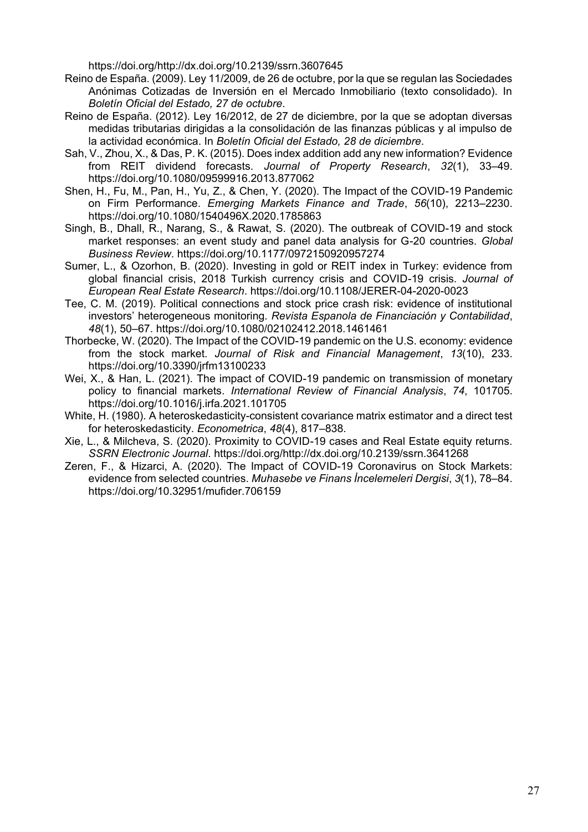https://doi.org/http://dx.doi.org/10.2139/ssrn.3607645

- Reino de España. (2009). Ley 11/2009, de 26 de octubre, por la que se regulan las Sociedades Anónimas Cotizadas de Inversión en el Mercado Inmobiliario (texto consolidado). In *Boletín Oficial del Estado, 27 de octubre*.
- Reino de España. (2012). Ley 16/2012, de 27 de diciembre, por la que se adoptan diversas medidas tributarias dirigidas a la consolidación de las finanzas públicas y al impulso de la actividad económica. In *Boletín Oficial del Estado, 28 de diciembre*.
- Sah, V., Zhou, X., & Das, P. K. (2015). Does index addition add any new information? Evidence from REIT dividend forecasts. *Journal of Property Research*, *32*(1), 33–49. https://doi.org/10.1080/09599916.2013.877062
- Shen, H., Fu, M., Pan, H., Yu, Z., & Chen, Y. (2020). The Impact of the COVID-19 Pandemic on Firm Performance. *Emerging Markets Finance and Trade*, *56*(10), 2213–2230. https://doi.org/10.1080/1540496X.2020.1785863
- Singh, B., Dhall, R., Narang, S., & Rawat, S. (2020). The outbreak of COVID-19 and stock market responses: an event study and panel data analysis for G-20 countries. *Global Business Review*. https://doi.org/10.1177/0972150920957274
- Sumer, L., & Ozorhon, B. (2020). Investing in gold or REIT index in Turkey: evidence from global financial crisis, 2018 Turkish currency crisis and COVID-19 crisis. *Journal of European Real Estate Research*. https://doi.org/10.1108/JERER-04-2020-0023
- Tee, C. M. (2019). Political connections and stock price crash risk: evidence of institutional investors' heterogeneous monitoring. *Revista Espanola de Financiación y Contabilidad*, *48*(1), 50–67. https://doi.org/10.1080/02102412.2018.1461461
- Thorbecke, W. (2020). The Impact of the COVID-19 pandemic on the U.S. economy: evidence from the stock market. *Journal of Risk and Financial Management*, *13*(10), 233. https://doi.org/10.3390/jrfm13100233
- Wei, X., & Han, L. (2021). The impact of COVID-19 pandemic on transmission of monetary policy to financial markets. *International Review of Financial Analysis*, *74*, 101705. https://doi.org/10.1016/j.irfa.2021.101705
- White, H. (1980). A heteroskedasticity-consistent covariance matrix estimator and a direct test for heteroskedasticity. *Econometrica*, *48*(4), 817–838.
- Xie, L., & Milcheva, S. (2020). Proximity to COVID-19 cases and Real Estate equity returns. *SSRN Electronic Journal*. https://doi.org/http://dx.doi.org/10.2139/ssrn.3641268
- Zeren, F., & Hizarci, A. (2020). The Impact of COVID-19 Coronavirus on Stock Markets: evidence from selected countries. *Muhasebe ve Finans İncelemeleri Dergisi*, *3*(1), 78–84. https://doi.org/10.32951/mufider.706159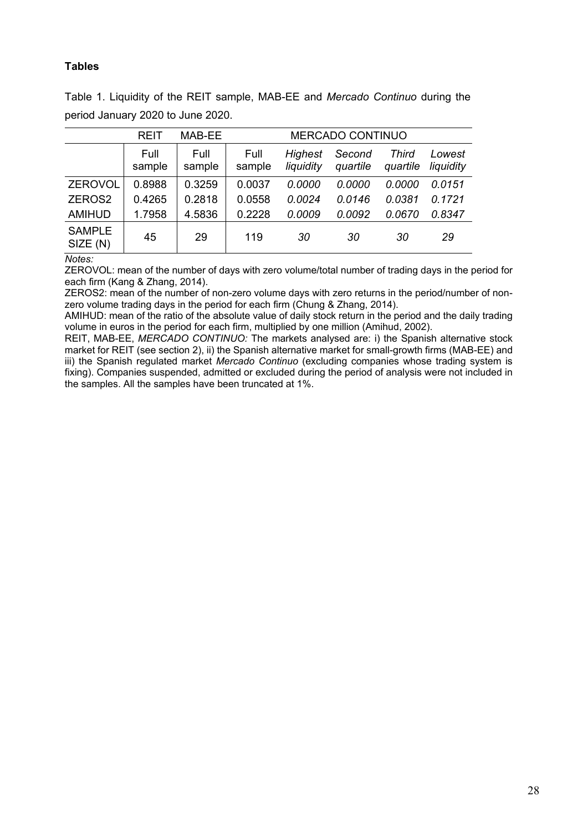# **Tables**

Table 1. Liquidity of the REIT sample, MAB-EE and *Mercado Continuo* during the period January 2020 to June 2020.

|                           | <b>REIT</b>    | MAB-EE         | MERCADO CONTINUO |                             |                    |                   |                     |
|---------------------------|----------------|----------------|------------------|-----------------------------|--------------------|-------------------|---------------------|
|                           | Full<br>sample | Full<br>sample | Full<br>sample   | <b>Highest</b><br>liquidity | Second<br>quartile | Third<br>quartile | Lowest<br>liquidity |
| <b>ZEROVOL</b>            | 0.8988         | 0.3259         | 0.0037           | 0.0000                      | 0.0000             | 0.0000            | 0.0151              |
| ZEROS2                    | 0.4265         | 0.2818         | 0.0558           | 0.0024                      | 0.0146             | 0.0381            | 0.1721              |
| <b>AMIHUD</b>             | 1.7958         | 4.5836         | 0.2228           | 0.0009                      | 0.0092             | 0.0670            | 0.8347              |
| <b>SAMPLE</b><br>SIZE (N) | 45             | 29             | 119              | 30                          | 30                 | 30                | 29                  |

*Notes:* 

ZEROVOL: mean of the number of days with zero volume/total number of trading days in the period for each firm (Kang & Zhang, 2014).

ZEROS2: mean of the number of non-zero volume days with zero returns in the period/number of nonzero volume trading days in the period for each firm (Chung & Zhang, 2014).

AMIHUD: mean of the ratio of the absolute value of daily stock return in the period and the daily trading volume in euros in the period for each firm, multiplied by one million (Amihud, 2002).

REIT, MAB-EE, *MERCADO CONTINUO:* The markets analysed are: i) the Spanish alternative stock market for REIT (see section 2), ii) the Spanish alternative market for small-growth firms (MAB-EE) and iii) the Spanish regulated market *Mercado Continuo* (excluding companies whose trading system is fixing). Companies suspended, admitted or excluded during the period of analysis were not included in the samples. All the samples have been truncated at 1%.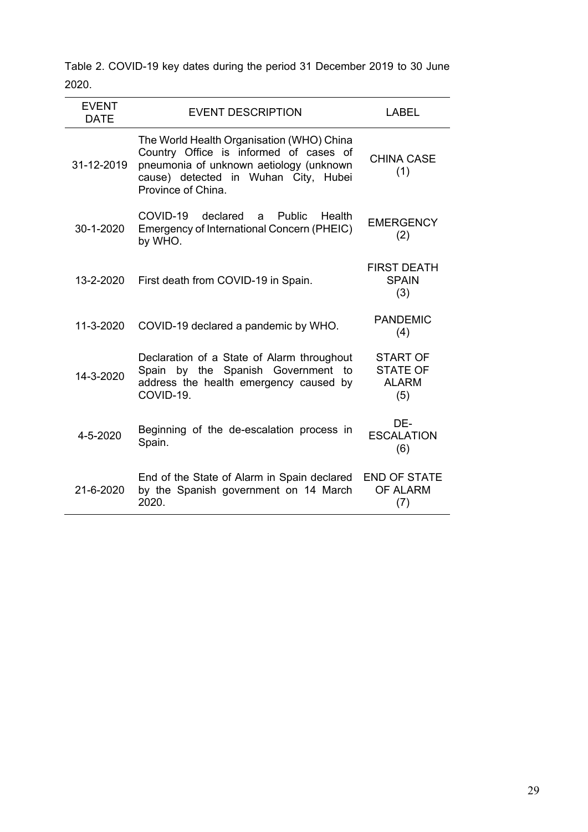Table 2. COVID-19 key dates during the period 31 December 2019 to 30 June 2020.

| <b>EVENT</b><br><b>DATE</b> | <b>EVENT DESCRIPTION</b>                                                                                                                                                                     | <b>LABEL</b>                                              |
|-----------------------------|----------------------------------------------------------------------------------------------------------------------------------------------------------------------------------------------|-----------------------------------------------------------|
| 31-12-2019                  | The World Health Organisation (WHO) China<br>Country Office is informed of cases of<br>pneumonia of unknown aetiology (unknown<br>cause) detected in Wuhan City, Hubei<br>Province of China. | <b>CHINA CASE</b><br>(1)                                  |
| 30-1-2020                   | COVID-19 declared<br><b>Public</b><br>Health<br>a -<br>Emergency of International Concern (PHEIC)<br>by WHO.                                                                                 | <b>EMERGENCY</b><br>(2)                                   |
| 13-2-2020                   | First death from COVID-19 in Spain.                                                                                                                                                          | <b>FIRST DEATH</b><br><b>SPAIN</b><br>(3)                 |
| 11-3-2020                   | COVID-19 declared a pandemic by WHO.                                                                                                                                                         | <b>PANDEMIC</b><br>(4)                                    |
| 14-3-2020                   | Declaration of a State of Alarm throughout<br>Spain by the Spanish Government to<br>address the health emergency caused by<br>COVID-19.                                                      | <b>START OF</b><br><b>STATE OF</b><br><b>ALARM</b><br>(5) |
| 4-5-2020                    | Beginning of the de-escalation process in<br>Spain.                                                                                                                                          | DE-<br><b>ESCALATION</b><br>(6)                           |
| 21-6-2020                   | End of the State of Alarm in Spain declared<br>by the Spanish government on 14 March<br>2020.                                                                                                | <b>END OF STATE</b><br><b>OF ALARM</b><br>(7)             |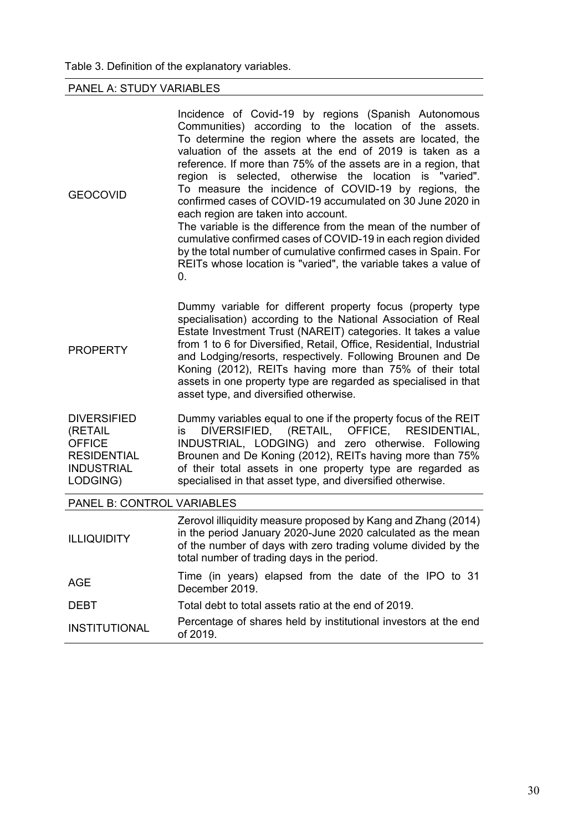# PANEL A: STUDY VARIABLES

| <b>GEOCOVID</b>                                                                                       | Incidence of Covid-19 by regions (Spanish Autonomous<br>Communities) according to the location of the assets.<br>To determine the region where the assets are located, the<br>valuation of the assets at the end of 2019 is taken as a<br>reference. If more than 75% of the assets are in a region, that<br>region is selected, otherwise the location is "varied".<br>To measure the incidence of COVID-19 by regions, the<br>confirmed cases of COVID-19 accumulated on 30 June 2020 in<br>each region are taken into account.<br>The variable is the difference from the mean of the number of<br>cumulative confirmed cases of COVID-19 in each region divided<br>by the total number of cumulative confirmed cases in Spain. For<br>REITs whose location is "varied", the variable takes a value of<br>0. |
|-------------------------------------------------------------------------------------------------------|-----------------------------------------------------------------------------------------------------------------------------------------------------------------------------------------------------------------------------------------------------------------------------------------------------------------------------------------------------------------------------------------------------------------------------------------------------------------------------------------------------------------------------------------------------------------------------------------------------------------------------------------------------------------------------------------------------------------------------------------------------------------------------------------------------------------|
| <b>PROPERTY</b>                                                                                       | Dummy variable for different property focus (property type<br>specialisation) according to the National Association of Real<br>Estate Investment Trust (NAREIT) categories. It takes a value<br>from 1 to 6 for Diversified, Retail, Office, Residential, Industrial<br>and Lodging/resorts, respectively. Following Brounen and De<br>Koning (2012), REITs having more than 75% of their total<br>assets in one property type are regarded as specialised in that<br>asset type, and diversified otherwise.                                                                                                                                                                                                                                                                                                    |
| <b>DIVERSIFIED</b><br>(RETAIL<br><b>OFFICE</b><br><b>RESIDENTIAL</b><br><b>INDUSTRIAL</b><br>LODGING) | Dummy variables equal to one if the property focus of the REIT<br>DIVERSIFIED, (RETAIL, OFFICE, RESIDENTIAL,<br>is<br>INDUSTRIAL, LODGING) and zero otherwise. Following<br>Brounen and De Koning (2012), REITs having more than 75%<br>of their total assets in one property type are regarded as<br>specialised in that asset type, and diversified otherwise.                                                                                                                                                                                                                                                                                                                                                                                                                                                |
| PANEL B: CONTROL VARIABLES                                                                            |                                                                                                                                                                                                                                                                                                                                                                                                                                                                                                                                                                                                                                                                                                                                                                                                                 |
| <b>ILLIQUIDITY</b>                                                                                    | Zerovol illiquidity measure proposed by Kang and Zhang (2014)<br>in the period January 2020-June 2020 calculated as the mean<br>of the number of days with zero trading volume divided by the<br>total number of trading days in the period.                                                                                                                                                                                                                                                                                                                                                                                                                                                                                                                                                                    |
| <b>AGE</b>                                                                                            | Time (in years) elapsed from the date of the IPO to 31<br>December 2019.                                                                                                                                                                                                                                                                                                                                                                                                                                                                                                                                                                                                                                                                                                                                        |
| <b>DEBT</b>                                                                                           | Total debt to total assets ratio at the end of 2019.                                                                                                                                                                                                                                                                                                                                                                                                                                                                                                                                                                                                                                                                                                                                                            |
| <b>INSTITUTIONAL</b>                                                                                  | Percentage of shares held by institutional investors at the end<br>of 2019.                                                                                                                                                                                                                                                                                                                                                                                                                                                                                                                                                                                                                                                                                                                                     |
|                                                                                                       |                                                                                                                                                                                                                                                                                                                                                                                                                                                                                                                                                                                                                                                                                                                                                                                                                 |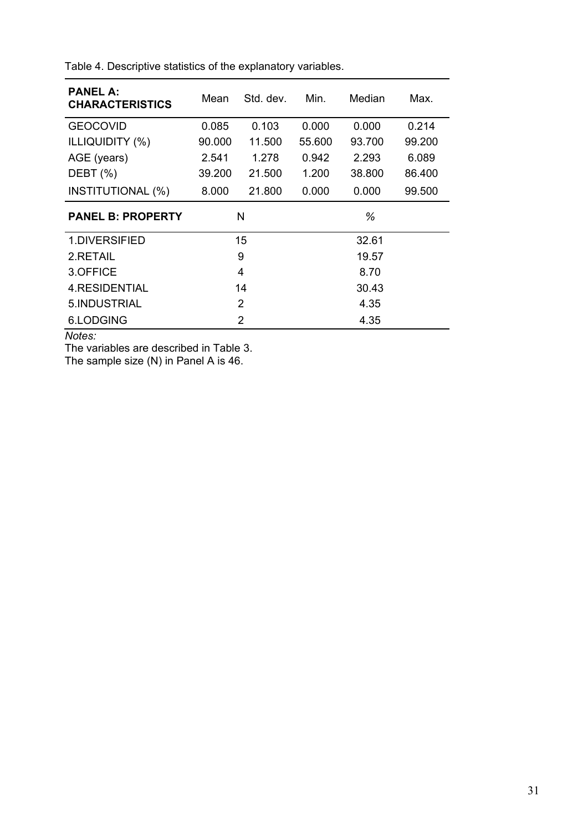| <b>PANEL A:</b><br><b>CHARACTERISTICS</b> | Mean   | Std. dev. | Min.   | Median | Max.   |  |
|-------------------------------------------|--------|-----------|--------|--------|--------|--|
| <b>GEOCOVID</b>                           | 0.085  | 0.103     | 0.000  | 0.000  | 0.214  |  |
| <b>ILLIQUIDITY (%)</b>                    | 90.000 | 11.500    | 55,600 | 93.700 | 99.200 |  |
| AGE (years)                               | 2.541  | 1.278     | 0.942  | 2.293  | 6.089  |  |
| DEBT (%)                                  | 39.200 | 21.500    | 1.200  | 38.800 | 86.400 |  |
| <b>INSTITUTIONAL (%)</b>                  | 8.000  | 21.800    | 0.000  | 0.000  | 99.500 |  |
| <b>PANEL B: PROPERTY</b>                  |        | N         | %      |        |        |  |
| 1.DIVERSIFIED                             |        | 15        | 32.61  |        |        |  |
| 2.RETAIL                                  |        | 9         | 19.57  |        |        |  |
| 3.OFFICE                                  |        | 4         | 8.70   |        |        |  |
| 4. RESIDENTIAL                            |        | 14        | 30.43  |        |        |  |
| 5.INDUSTRIAL                              |        | 2         | 4.35   |        |        |  |
| 6.LODGING                                 |        | 2         | 4.35   |        |        |  |

Table 4. Descriptive statistics of the explanatory variables.

*Notes:* 

The variables are described in Table 3.

The sample size (N) in Panel A is 46.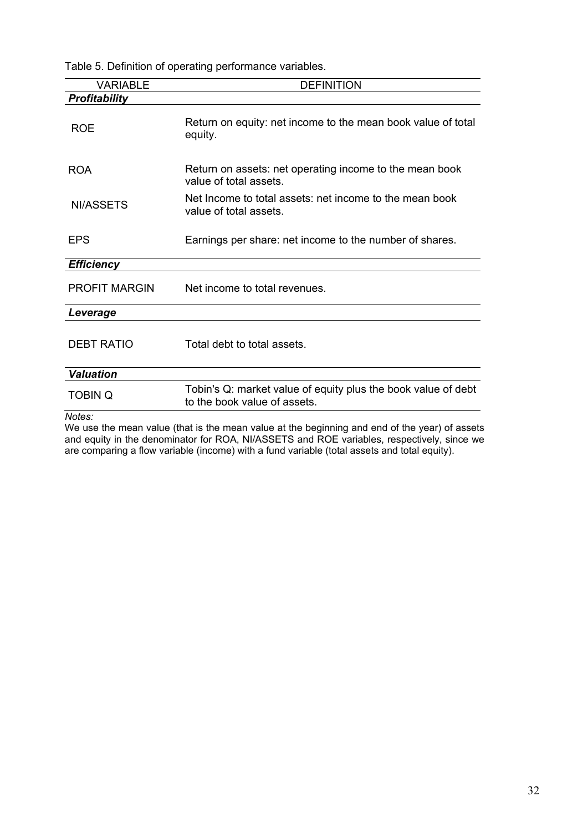Table 5. Definition of operating performance variables.

| <b>VARIABLE</b>      | <b>DEFINITION</b>                                                                             |
|----------------------|-----------------------------------------------------------------------------------------------|
| Profitability        |                                                                                               |
| <b>ROE</b>           | Return on equity: net income to the mean book value of total<br>equity.                       |
| <b>ROA</b>           | Return on assets: net operating income to the mean book<br>value of total assets.             |
| NI/ASSETS            | Net Income to total assets: net income to the mean book<br>value of total assets.             |
| EPS                  | Earnings per share: net income to the number of shares.                                       |
| <b>Efficiency</b>    |                                                                                               |
| <b>PROFIT MARGIN</b> | Net income to total revenues.                                                                 |
| Leverage             |                                                                                               |
| <b>DEBT RATIO</b>    | Total debt to total assets.                                                                   |
| <b>Valuation</b>     |                                                                                               |
| <b>TOBIN Q</b>       | Tobin's Q: market value of equity plus the book value of debt<br>to the book value of assets. |

*Notes:* 

We use the mean value (that is the mean value at the beginning and end of the year) of assets and equity in the denominator for ROA, NI/ASSETS and ROE variables, respectively, since we are comparing a flow variable (income) with a fund variable (total assets and total equity).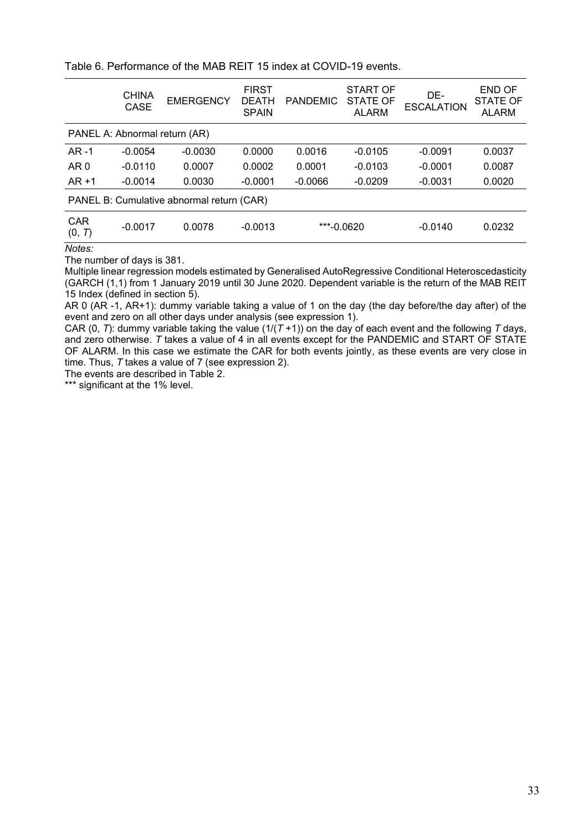| Table 6. Performance of the MAB REIT 15 index at COVID-19 events. |  |  |
|-------------------------------------------------------------------|--|--|
|                                                                   |  |  |

|                                           | <b>CHINA</b><br><b>CASE</b> | <b>EMERGENCY</b> | <b>FIRST</b><br><b>DEATH</b><br><b>SPAIN</b> | <b>PANDEMIC</b> | <b>START OF</b><br>STATE OF<br><b>ALARM</b> | DE-<br><b>ESCALATION</b> | <b>END OF</b><br>STATE OF<br><b>ALARM</b> |  |  |
|-------------------------------------------|-----------------------------|------------------|----------------------------------------------|-----------------|---------------------------------------------|--------------------------|-------------------------------------------|--|--|
| PANEL A: Abnormal return (AR)             |                             |                  |                                              |                 |                                             |                          |                                           |  |  |
| $AR -1$                                   | $-0.0054$                   | $-0.0030$        | 0.0000                                       | 0.0016          | $-0.0105$                                   | $-0.0091$                | 0.0037                                    |  |  |
| AR <sub>0</sub>                           | $-0.0110$                   | 0.0007           | 0.0002                                       | 0.0001          | $-0.0103$                                   | $-0.0001$                | 0.0087                                    |  |  |
| $AR + 1$                                  | $-0.0014$                   | 0.0030           | $-0.0001$                                    | $-0.0066$       | $-0.0209$                                   | $-0.0031$                | 0.0020                                    |  |  |
| PANEL B: Cumulative abnormal return (CAR) |                             |                  |                                              |                 |                                             |                          |                                           |  |  |
| <b>CAR</b><br>(0, T)                      | $-0.0017$                   | 0.0078           | $-0.0013$                                    | ***-0.0620      |                                             | $-0.0140$                | 0.0232                                    |  |  |
| $M$ otoc $\cdot$                          |                             |                  |                                              |                 |                                             |                          |                                           |  |  |

*Notes:*

The number of days is 381.

Multiple linear regression models estimated by Generalised AutoRegressive Conditional Heteroscedasticity (GARCH (1,1) from 1 January 2019 until 30 June 2020. Dependent variable is the return of the MAB REIT 15 Index (defined in section 5).

AR 0 (AR -1, AR+1): dummy variable taking a value of 1 on the day (the day before/the day after) of the event and zero on all other days under analysis (see expression 1).

CAR (0, *T*): dummy variable taking the value ( $1/(T+1)$ ) on the day of each event and the following *T* days, and zero otherwise. *T* takes a value of 4 in all events except for the PANDEMIC and START OF STATE OF ALARM. In this case we estimate the CAR for both events jointly, as these events are very close in time. Thus, *T* takes a value of 7 (see expression 2).

The events are described in Table 2.

\*\*\* significant at the 1% level.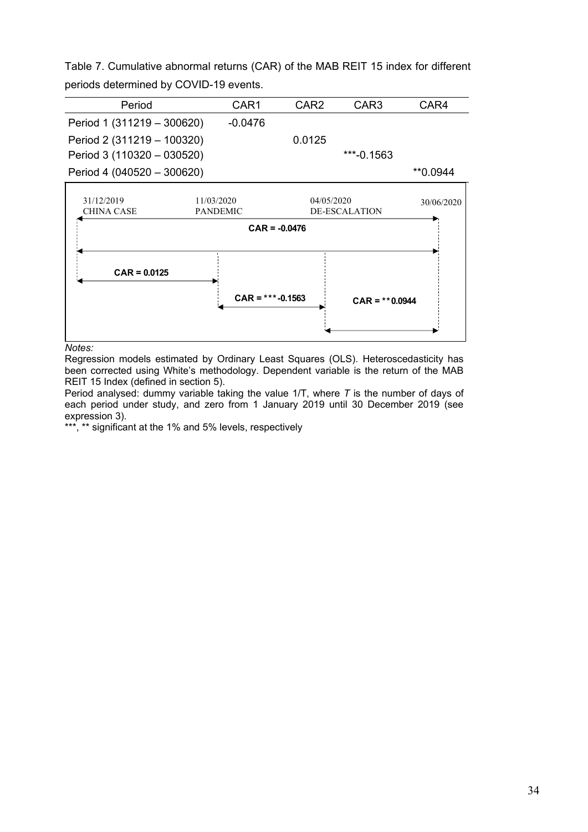Table 7. Cumulative abnormal returns (CAR) of the MAB REIT 15 index for different periods determined by COVID-19 events.

| Period                       | CAR1    | CAR <sub>2</sub> | CAR3         | CAR4     |
|------------------------------|---------|------------------|--------------|----------|
| Period 1 (311219 - 300620)   | -0.0476 |                  |              |          |
| Period 2 (311219 - 100320)   |         | 0.0125           |              |          |
| Period 3 (110320 - 030520)   |         |                  | $***-0.1563$ |          |
| Period 4 $(040520 - 300620)$ |         |                  |              | **0.0944 |



#### *Notes:*

Regression models estimated by Ordinary Least Squares (OLS). Heteroscedasticity has been corrected using White's methodology. Dependent variable is the return of the MAB REIT 15 Index (defined in section 5).

Period analysed: dummy variable taking the value 1/T, where *T* is the number of days of each period under study, and zero from 1 January 2019 until 30 December 2019 (see expression 3).

\*\*\*, \*\* significant at the 1% and 5% levels, respectively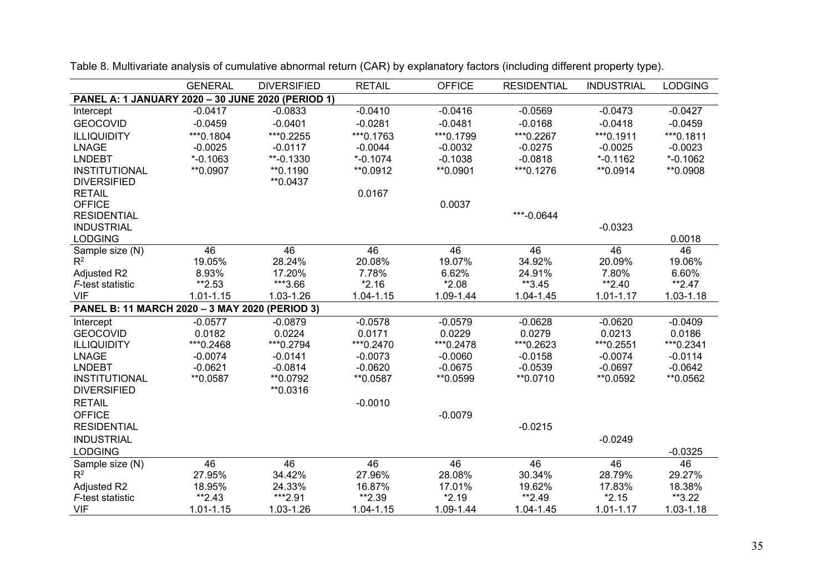|                                                | <b>GENERAL</b>                                    | <b>DIVERSIFIED</b> | <b>RETAIL</b> | <b>OFFICE</b> | <b>RESIDENTIAL</b> | <b>INDUSTRIAL</b> | <b>LODGING</b>  |  |  |  |  |
|------------------------------------------------|---------------------------------------------------|--------------------|---------------|---------------|--------------------|-------------------|-----------------|--|--|--|--|
|                                                | PANEL A: 1 JANUARY 2020 - 30 JUNE 2020 (PERIOD 1) |                    |               |               |                    |                   |                 |  |  |  |  |
| Intercept                                      | $-0.0417$                                         | $-0.0833$          | $-0.0410$     | $-0.0416$     | $-0.0569$          | $-0.0473$         | $-0.0427$       |  |  |  |  |
| <b>GEOCOVID</b>                                | $-0.0459$                                         | $-0.0401$          | $-0.0281$     | $-0.0481$     | $-0.0168$          | $-0.0418$         | $-0.0459$       |  |  |  |  |
| <b>ILLIQUIDITY</b>                             | *** 0.1804                                        | ***0.2255          | ***0.1763     | ***0.1799     | ***0.2267          | *** 0.1911        | *** 0.1811      |  |  |  |  |
| <b>LNAGE</b>                                   | $-0.0025$                                         | $-0.0117$          | $-0.0044$     | $-0.0032$     | $-0.0275$          | $-0.0025$         | $-0.0023$       |  |  |  |  |
| <b>LNDEBT</b>                                  | $*$ -0.1063                                       | $*$ -0.1330        | $*$ -0.1074   | $-0.1038$     | $-0.0818$          | $*$ -0.1162       | $*$ -0.1062     |  |  |  |  |
| <b>INSTITUTIONAL</b>                           | ** 0.0907                                         | ** 0.1190          | ** 0.0912     | ** 0.0901     | *** 0.1276         | ** 0.0914         | ** 0.0908       |  |  |  |  |
| <b>DIVERSIFIED</b>                             |                                                   | ** 0.0437          |               |               |                    |                   |                 |  |  |  |  |
| <b>RETAIL</b>                                  |                                                   |                    | 0.0167        |               |                    |                   |                 |  |  |  |  |
| <b>OFFICE</b>                                  |                                                   |                    |               | 0.0037        |                    |                   |                 |  |  |  |  |
| <b>RESIDENTIAL</b>                             |                                                   |                    |               |               | ***-0.0644         |                   |                 |  |  |  |  |
| <b>INDUSTRIAL</b>                              |                                                   |                    |               |               |                    | $-0.0323$         |                 |  |  |  |  |
| <b>LODGING</b>                                 |                                                   |                    |               |               |                    |                   | 0.0018          |  |  |  |  |
| Sample size (N)                                | $\overline{46}$                                   | $\overline{46}$    | 46            | 46            | 46                 | 46                | $\overline{46}$ |  |  |  |  |
| $R^2$                                          | 19.05%                                            | 28.24%             | 20.08%        | 19.07%        | 34.92%             | 20.09%            | 19.06%          |  |  |  |  |
| Adjusted R2                                    | 8.93%                                             | 17.20%             | 7.78%         | 6.62%         | 24.91%             | 7.80%             | 6.60%           |  |  |  |  |
| F-test statistic                               | **2.53                                            | ***3.66            | $*2.16$       | $*2.08$       | **3.45             | $*2.40$           | $*2.47$         |  |  |  |  |
| <b>VIF</b>                                     | $1.01 - 1.15$                                     | 1.03-1.26          | $1.04 - 1.15$ | 1.09-1.44     | 1.04-1.45          | $1.01 - 1.17$     | $1.03 - 1.18$   |  |  |  |  |
| PANEL B: 11 MARCH 2020 - 3 MAY 2020 (PERIOD 3) |                                                   |                    |               |               |                    |                   |                 |  |  |  |  |
| Intercept                                      | $-0.0577$                                         | $-0.0879$          | $-0.0578$     | $-0.0579$     | $-0.0628$          | $-0.0620$         | $-0.0409$       |  |  |  |  |
| <b>GEOCOVID</b>                                | 0.0182                                            | 0.0224             | 0.0171        | 0.0229        | 0.0279             | 0.0213            | 0.0186          |  |  |  |  |
| <b>ILLIQUIDITY</b>                             | *** 0.2468                                        | *** 0.2794         | *** 0.2470    | *** 0.2478    | ***0.2623          | *** 0.2551        | *** 0.2341      |  |  |  |  |
| <b>LNAGE</b>                                   | $-0.0074$                                         | $-0.0141$          | $-0.0073$     | $-0.0060$     | $-0.0158$          | $-0.0074$         | $-0.0114$       |  |  |  |  |
| <b>LNDEBT</b>                                  | $-0.0621$                                         | $-0.0814$          | $-0.0620$     | $-0.0675$     | $-0.0539$          | $-0.0697$         | $-0.0642$       |  |  |  |  |
| <b>INSTITUTIONAL</b>                           | ** 0.0587                                         | ** 0.0792          | **0.0587      | ** 0.0599     | ** 0.0710          | ** 0.0592         | ** 0.0562       |  |  |  |  |
| <b>DIVERSIFIED</b>                             |                                                   | **0.0316           |               |               |                    |                   |                 |  |  |  |  |
| <b>RETAIL</b>                                  |                                                   |                    | $-0.0010$     |               |                    |                   |                 |  |  |  |  |
| <b>OFFICE</b>                                  |                                                   |                    |               | $-0.0079$     |                    |                   |                 |  |  |  |  |
| <b>RESIDENTIAL</b>                             |                                                   |                    |               |               | $-0.0215$          |                   |                 |  |  |  |  |
| <b>INDUSTRIAL</b>                              |                                                   |                    |               |               |                    | $-0.0249$         |                 |  |  |  |  |
| <b>LODGING</b>                                 |                                                   |                    |               |               |                    |                   | $-0.0325$       |  |  |  |  |
| Sample size (N)                                | 46                                                | 46                 | 46            | 46            | 46                 | 46                | 46              |  |  |  |  |
| $R^2$                                          | 27.95%                                            | 34.42%             | 27.96%        | 28.08%        | 30.34%             | 28.79%            | 29.27%          |  |  |  |  |
| Adjusted R2                                    | 18.95%                                            | 24.33%             | 16.87%        | 17.01%        | 19.62%             | 17.83%            | 18.38%          |  |  |  |  |
| F-test statistic                               | $*2.43$                                           | ***2.91            | **2.39        | $*2.19$       | **2.49             | $*2.15$           | **3.22          |  |  |  |  |
| <b>VIF</b>                                     | 1.01-1.15                                         | 1.03-1.26          | 1.04-1.15     | 1.09-1.44     | 1.04-1.45          | $1.01 - 1.17$     | 1.03-1.18       |  |  |  |  |

Table 8. Multivariate analysis of cumulative abnormal return (CAR) by explanatory factors (including different property type).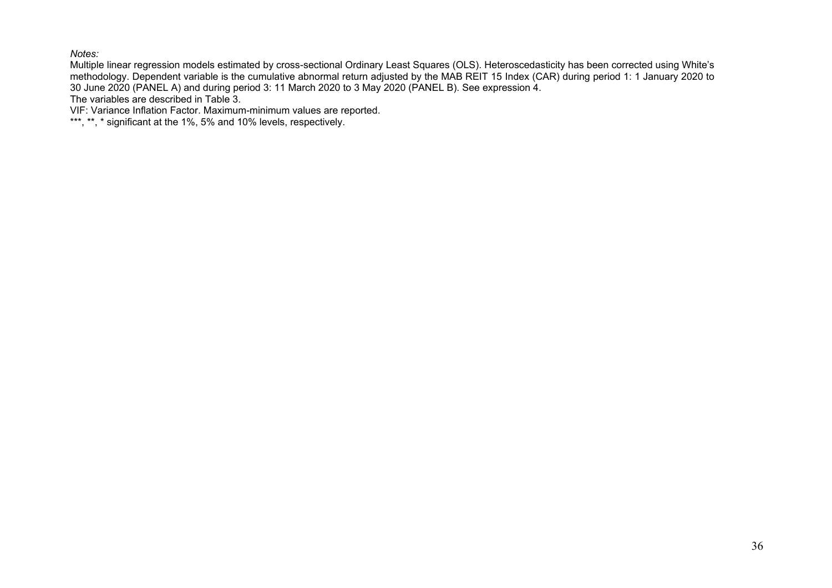*Notes:* 

Multiple linear regression models estimated by cross-sectional Ordinary Least Squares (OLS). Heteroscedasticity has been corrected using White's methodology. Dependent variable is the cumulative abnormal return adjusted by the MAB REIT 15 Index (CAR) during period 1: 1 January 2020 to 30 June 2020 (PANEL A) and during period 3: 11 March 2020 to 3 May 2020 (PANEL B). See expression 4.

The variables are described in Table 3.

VIF: Variance Inflation Factor. Maximum-minimum values are reported.

\*\*\*, \*\*, \* significant at the 1%, 5% and 10% levels, respectively.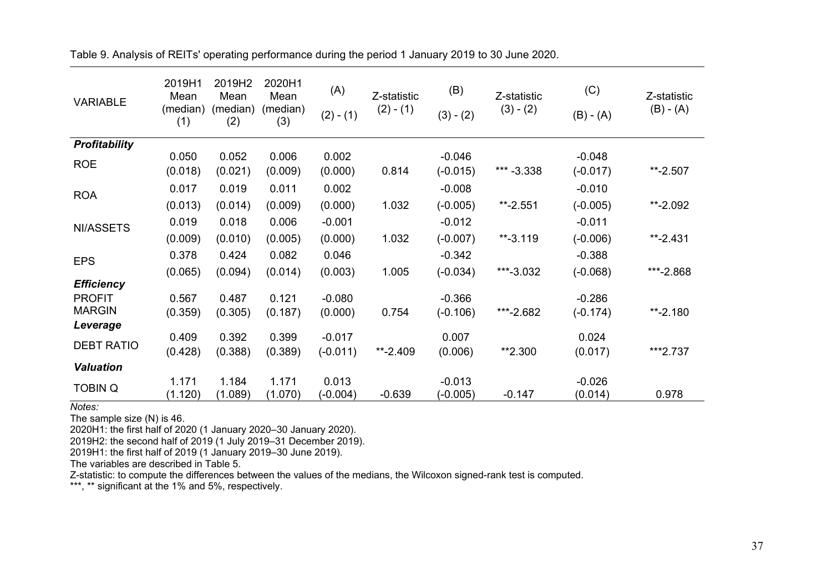| <b>VARIABLE</b>      | 2019H1<br>Mean<br>(median)<br>(1) | 2019H2<br>Mean<br>(median)<br>(2) | 2020H1<br>Mean<br>(median)<br>(3) | (A)<br>$(2) - (1)$ | Z-statistic<br>$(2) - (1)$ | (B)<br>$(3) - (2)$     | Z-statistic<br>$(3) - (2)$ | (C)<br>$(B) - (A)$     | Z-statistic<br>$(B) - (A)$ |
|----------------------|-----------------------------------|-----------------------------------|-----------------------------------|--------------------|----------------------------|------------------------|----------------------------|------------------------|----------------------------|
| <b>Profitability</b> |                                   |                                   |                                   |                    |                            |                        |                            |                        |                            |
| <b>ROE</b>           | 0.050<br>(0.018)                  | 0.052<br>(0.021)                  | 0.006<br>(0.009)                  | 0.002<br>(0.000)   | 0.814                      | $-0.046$<br>$(-0.015)$ | *** $-3.338$               | $-0.048$<br>$(-0.017)$ | $**-2.507$                 |
| <b>ROA</b>           | 0.017                             | 0.019                             | 0.011                             | 0.002              |                            | $-0.008$               |                            | $-0.010$               |                            |
|                      | (0.013)                           | (0.014)                           | (0.009)                           | (0.000)            | 1.032                      | $(-0.005)$             | $*$ -2.551                 | $(-0.005)$             | $**-2.092$                 |
| NI/ASSETS            | 0.019                             | 0.018                             | 0.006                             | $-0.001$           |                            | $-0.012$               |                            | $-0.011$               |                            |
|                      | (0.009)                           | (0.010)                           | (0.005)                           | (0.000)            | 1.032                      | $(-0.007)$             | $**-3.119$                 | $(-0.006)$             | $*$ -2.431                 |
| <b>EPS</b>           | 0.378                             | 0.424                             | 0.082                             | 0.046              |                            | $-0.342$               |                            | $-0.388$               |                            |
|                      | (0.065)                           | (0.094)                           | (0.014)                           | (0.003)            | 1.005                      | $(-0.034)$             | ***-3.032                  | $(-0.068)$             | ***-2.868                  |
| <b>Efficiency</b>    |                                   |                                   |                                   |                    |                            |                        |                            |                        |                            |
| <b>PROFIT</b>        | 0.567                             | 0.487                             | 0.121                             | $-0.080$           |                            | $-0.366$               |                            | $-0.286$               |                            |
| <b>MARGIN</b>        | (0.359)                           | (0.305)                           | (0.187)                           | (0.000)            | 0.754                      | $(-0.106)$             | ***-2.682                  | $(-0.174)$             | $**-2.180$                 |
| Leverage             |                                   |                                   |                                   |                    |                            |                        |                            |                        |                            |
| <b>DEBT RATIO</b>    | 0.409                             | 0.392                             | 0.399                             | $-0.017$           |                            | 0.007                  |                            | 0.024                  |                            |
|                      | (0.428)                           | (0.388)                           | (0.389)                           | $(-0.011)$         | $*$ -2.409                 | (0.006)                | **2.300                    | (0.017)                | ***2.737                   |
| <b>Valuation</b>     |                                   |                                   |                                   |                    |                            |                        |                            |                        |                            |
| <b>TOBIN Q</b>       | 1.171                             | 1.184                             | 1.171                             | 0.013              |                            | $-0.013$               |                            | $-0.026$               |                            |
|                      | (1.120)                           | (1.089)                           | (1.070)                           | $(-0.004)$         | $-0.639$                   | $(-0.005)$             | $-0.147$                   | (0.014)                | 0.978                      |

Table 9. Analysis of REITs' operating performance during the period 1 January 2019 to 30 June 2020.

*Notes:*

The sample size (N) is 46.

2020H1: the first half of 2020 (1 January 2020–30 January 2020).

2019H2: the second half of 2019 (1 July 2019–31 December 2019).

2019H1: the first half of 2019 (1 January 2019–30 June 2019).

The variables are described in Table 5.

Z-statistic: to compute the differences between the values of the medians, the Wilcoxon signed-rank test is computed.

\*\*\*, \*\* significant at the 1% and 5%, respectively.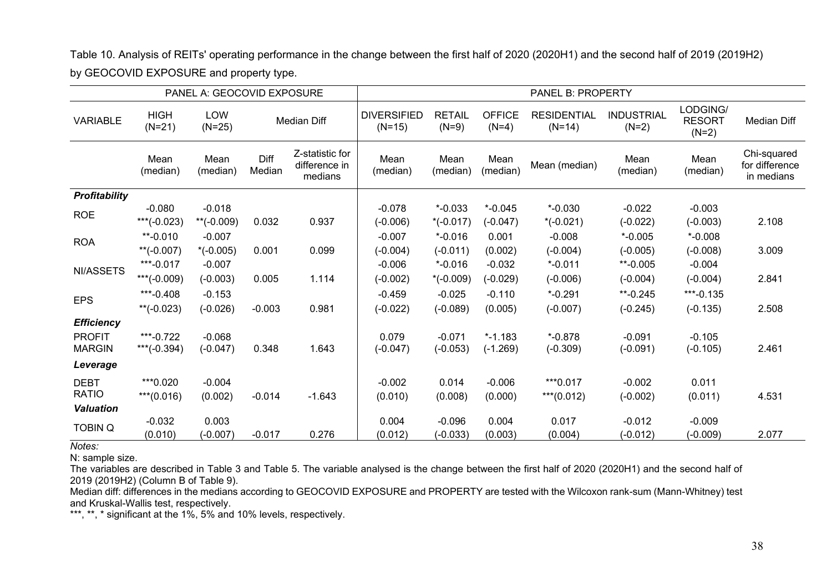Table 10. Analysis of REITs' operating performance in the change between the first half of 2020 (2020H1) and the second half of 2019 (2019H2) by GEOCOVID EXPOSURE and property type.

| PANEL A: GEOCOVID EXPOSURE |                         |                        |                |                                             | <b>PANEL B: PROPERTY</b>       |                          |                          |                                |                              |                                      |                                             |
|----------------------------|-------------------------|------------------------|----------------|---------------------------------------------|--------------------------------|--------------------------|--------------------------|--------------------------------|------------------------------|--------------------------------------|---------------------------------------------|
| <b>VARIABLE</b>            | <b>HIGH</b><br>$(N=21)$ | <b>LOW</b><br>$(N=25)$ |                | <b>Median Diff</b>                          | <b>DIVERSIFIED</b><br>$(N=15)$ | <b>RETAIL</b><br>$(N=9)$ | <b>OFFICE</b><br>$(N=4)$ | <b>RESIDENTIAL</b><br>$(N=14)$ | <b>INDUSTRIAL</b><br>$(N=2)$ | LODGING/<br><b>RESORT</b><br>$(N=2)$ | <b>Median Diff</b>                          |
|                            | Mean<br>(median)        | Mean<br>(median)       | Diff<br>Median | Z-statistic for<br>difference in<br>medians | Mean<br>(median)               | Mean<br>(median)         | Mean<br>(median)         | Mean (median)                  | Mean<br>(median)             | Mean<br>(median)                     | Chi-squared<br>for difference<br>in medians |
| Profitability              |                         |                        |                |                                             |                                |                          |                          |                                |                              |                                      |                                             |
| <b>ROE</b>                 | $-0.080$                | $-0.018$               |                |                                             | $-0.078$                       | $*$ -0.033               | $*$ -0.045               | $* -0.030$                     | $-0.022$                     | $-0.003$                             |                                             |
|                            | ***(-0.023)             | ** $(-0.009)$          | 0.032          | 0.937                                       | $(-0.006)$                     | $*(-0.017)$              | $(-0.047)$               | $*(-0.021)$                    | $(-0.022)$                   | $(-0.003)$                           | 2.108                                       |
| <b>ROA</b>                 | $*$ -0.010              | $-0.007$               |                |                                             | $-0.007$                       | $* -0.016$               | 0.001                    | $-0.008$                       | $*$ -0.005                   | $* -0.008$                           |                                             |
|                            | **(-0.007)              | $*(-0.005)$            | 0.001          | 0.099                                       | $(-0.004)$                     | $(-0.011)$               | (0.002)                  | $(-0.004)$                     | $(-0.005)$                   | $(-0.008)$                           | 3.009                                       |
| NI/ASSETS                  | ***-0.017               | $-0.007$               |                |                                             | $-0.006$                       | $* -0.016$               | $-0.032$                 | $*$ -0.011                     | $*$ -0.005                   | $-0.004$                             |                                             |
|                            | ***(-0.009)             | $(-0.003)$             | 0.005          | 1.114                                       | $(-0.002)$                     | $*(-0.009)$              | $(-0.029)$               | $(-0.006)$                     | $(-0.004)$                   | $(-0.004)$                           | 2.841                                       |
|                            | ***-0.408               | $-0.153$               |                |                                             | $-0.459$                       | $-0.025$                 | $-0.110$                 | $*$ -0.291                     | $*$ -0.245                   | ***-0.135                            |                                             |
| <b>EPS</b>                 | ** $(-0.023)$           | $(-0.026)$             | $-0.003$       | 0.981                                       | $(-0.022)$                     | $(-0.089)$               | (0.005)                  | $(-0.007)$                     | $(-0.245)$                   | $(-0.135)$                           | 2.508                                       |
| <b>Efficiency</b>          |                         |                        |                |                                             |                                |                          |                          |                                |                              |                                      |                                             |
| <b>PROFIT</b>              | ***-0.722               | $-0.068$               |                |                                             | 0.079                          | $-0.071$                 | $* - 1.183$              | $* -0.878$                     | $-0.091$                     | $-0.105$                             |                                             |
| <b>MARGIN</b>              | ***(-0.394)             | $(-0.047)$             | 0.348          | 1.643                                       | $(-0.047)$                     | $(-0.053)$               | $(-1.269)$               | $(-0.309)$                     | $(-0.091)$                   | $(-0.105)$                           | 2.461                                       |
| Leverage                   |                         |                        |                |                                             |                                |                          |                          |                                |                              |                                      |                                             |
| <b>DEBT</b>                | ***0.020                | $-0.004$               |                |                                             | $-0.002$                       | 0.014                    | $-0.006$                 | ***0.017                       | $-0.002$                     | 0.011                                |                                             |
| <b>RATIO</b>               | $***(0.016)$            | (0.002)                | $-0.014$       | $-1.643$                                    | (0.010)                        | (0.008)                  | (0.000)                  | ***(0.012)                     | $(-0.002)$                   | (0.011)                              | 4.531                                       |
| <b>Valuation</b>           |                         |                        |                |                                             |                                |                          |                          |                                |                              |                                      |                                             |
| <b>TOBIN Q</b>             | $-0.032$                | 0.003                  |                |                                             | 0.004                          | $-0.096$                 | 0.004                    | 0.017                          | $-0.012$                     | $-0.009$                             |                                             |
|                            | (0.010)                 | $(-0.007)$             | $-0.017$       | 0.276                                       | (0.012)                        | $(-0.033)$               | (0.003)                  | (0.004)                        | (-0.012)                     | $(-0.009)$                           | 2.077                                       |

*Notes:*

N: sample size.

The variables are described in Table 3 and Table 5. The variable analysed is the change between the first half of 2020 (2020H1) and the second half of 2019 (2019H2) (Column B of Table 9).

Median diff: differences in the medians according to GEOCOVID EXPOSURE and PROPERTY are tested with the Wilcoxon rank-sum (Mann-Whitney) test and Kruskal-Wallis test, respectively.

\*\*\*, \*\*, \* significant at the 1%, 5% and 10% levels, respectively.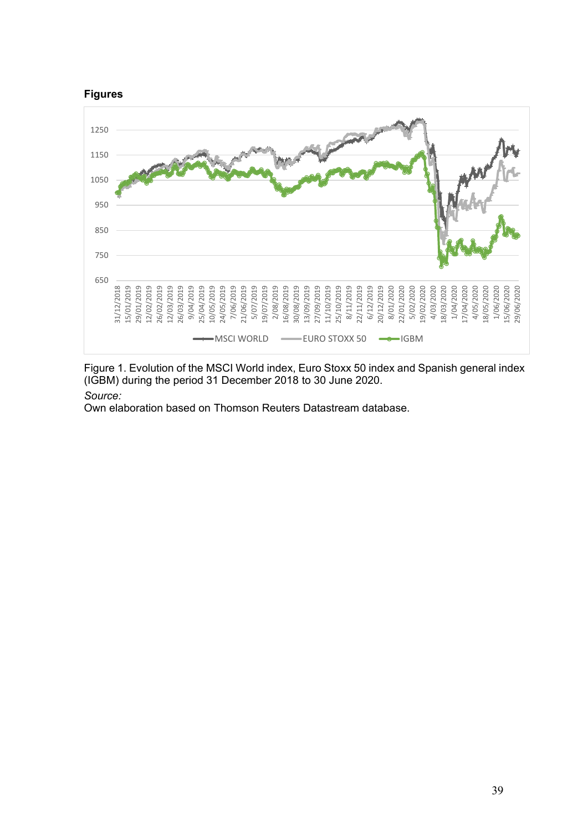

Figure 1. Evolution of the MSCI World index, Euro Stoxx 50 index and Spanish general index (IGBM) during the period 31 December 2018 to 30 June 2020.

# *Source:*

Own elaboration based on Thomson Reuters Datastream database.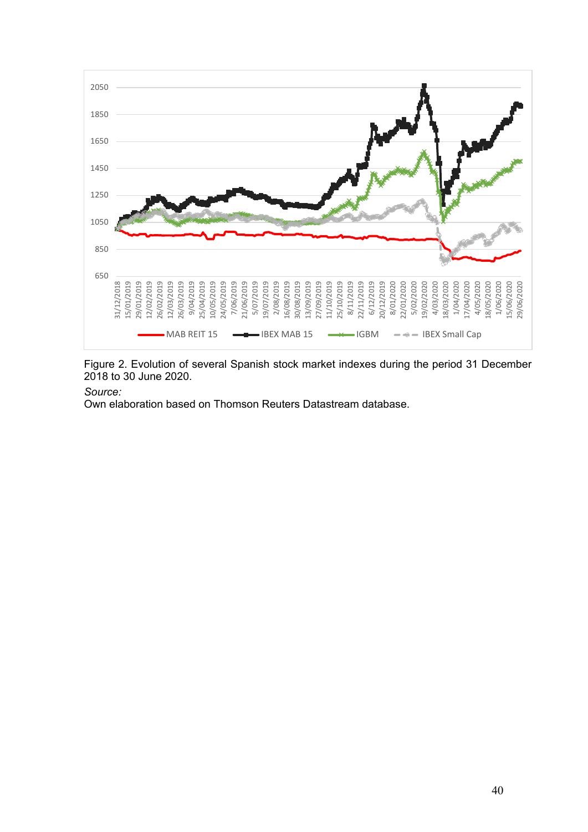

Figure 2. Evolution of several Spanish stock market indexes during the period 31 December 2018 to 30 June 2020.

### *Source:*

Own elaboration based on Thomson Reuters Datastream database.